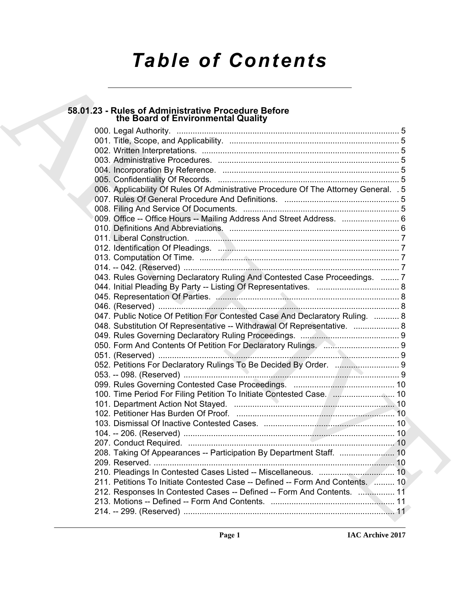# *Table of Contents*

# **58.01.23 - Rules of Administrative Procedure Before the Board of Environmental Quality**

| 58.01.23 - Rules of Administrative Procedure Before<br>the Board of Environmental Quality                                      |  |
|--------------------------------------------------------------------------------------------------------------------------------|--|
|                                                                                                                                |  |
|                                                                                                                                |  |
|                                                                                                                                |  |
|                                                                                                                                |  |
|                                                                                                                                |  |
|                                                                                                                                |  |
| 006. Applicability Of Rules Of Administrative Procedure Of The Attorney General. . 5                                           |  |
|                                                                                                                                |  |
|                                                                                                                                |  |
| 009. Office -- Office Hours -- Mailing Address And Street Address.  6                                                          |  |
|                                                                                                                                |  |
|                                                                                                                                |  |
|                                                                                                                                |  |
|                                                                                                                                |  |
|                                                                                                                                |  |
| 043. Rules Governing Declaratory Ruling And Contested Case Proceedings.  7                                                     |  |
|                                                                                                                                |  |
|                                                                                                                                |  |
| 047. Public Notice Of Petition For Contested Case And Declaratory Ruling.  8                                                   |  |
| 048. Substitution Of Representative -- Withdrawal Of Representative.  8                                                        |  |
|                                                                                                                                |  |
| 050. Form And Contents Of Petition For Declaratory Rulings. 2000. Form And Contents Of Petition For Declaratory Rulings. 2001. |  |
|                                                                                                                                |  |
|                                                                                                                                |  |
|                                                                                                                                |  |
|                                                                                                                                |  |
|                                                                                                                                |  |
|                                                                                                                                |  |
|                                                                                                                                |  |
|                                                                                                                                |  |
|                                                                                                                                |  |
|                                                                                                                                |  |
|                                                                                                                                |  |
|                                                                                                                                |  |
|                                                                                                                                |  |
| 211. Petitions To Initiate Contested Case -- Defined -- Form And Contents.  10                                                 |  |
| 212. Responses In Contested Cases -- Defined -- Form And Contents.  11                                                         |  |
|                                                                                                                                |  |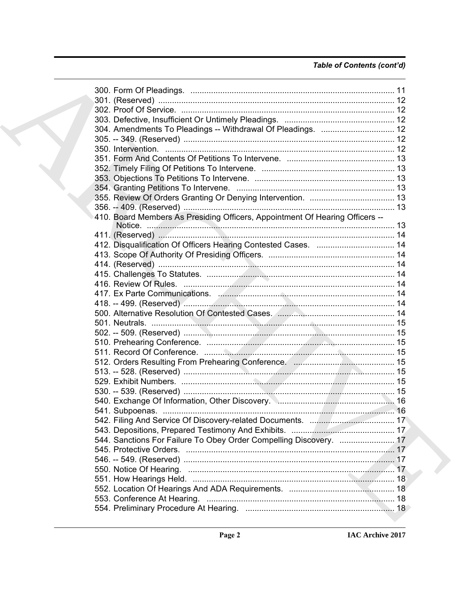## Table of Contents (cont'd)

|  | 304. Amendments To Pleadings -- Withdrawal Of Pleadings.  12                 |  |
|--|------------------------------------------------------------------------------|--|
|  |                                                                              |  |
|  |                                                                              |  |
|  |                                                                              |  |
|  |                                                                              |  |
|  |                                                                              |  |
|  |                                                                              |  |
|  |                                                                              |  |
|  |                                                                              |  |
|  | 410. Board Members As Presiding Officers, Appointment Of Hearing Officers -- |  |
|  |                                                                              |  |
|  |                                                                              |  |
|  |                                                                              |  |
|  |                                                                              |  |
|  | 414. (Reserved) ……………………………………………………………………………………… 14                         |  |
|  |                                                                              |  |
|  |                                                                              |  |
|  |                                                                              |  |
|  |                                                                              |  |
|  |                                                                              |  |
|  |                                                                              |  |
|  |                                                                              |  |
|  |                                                                              |  |
|  |                                                                              |  |
|  |                                                                              |  |
|  |                                                                              |  |
|  |                                                                              |  |
|  |                                                                              |  |
|  |                                                                              |  |
|  |                                                                              |  |
|  |                                                                              |  |
|  |                                                                              |  |
|  | 544. Sanctions For Failure To Obey Order Compelling Discovery.  17           |  |
|  |                                                                              |  |
|  |                                                                              |  |
|  |                                                                              |  |
|  |                                                                              |  |
|  |                                                                              |  |
|  |                                                                              |  |
|  |                                                                              |  |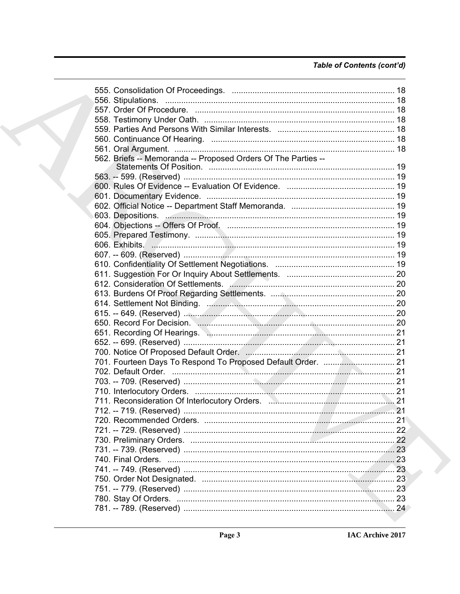## Table of Contents (cont'd)

| 562. Briefs -- Memoranda -- Proposed Orders Of The Parties --                |  |
|------------------------------------------------------------------------------|--|
|                                                                              |  |
|                                                                              |  |
|                                                                              |  |
|                                                                              |  |
|                                                                              |  |
|                                                                              |  |
|                                                                              |  |
|                                                                              |  |
|                                                                              |  |
|                                                                              |  |
|                                                                              |  |
|                                                                              |  |
|                                                                              |  |
|                                                                              |  |
|                                                                              |  |
|                                                                              |  |
|                                                                              |  |
| 651. Recording Of Hearings. M. M. Martin M. Martin M. Martin M. Martin M. 21 |  |
|                                                                              |  |
|                                                                              |  |
| 701. Fourteen Days To Respond To Proposed Default Order.  21                 |  |
|                                                                              |  |
|                                                                              |  |
|                                                                              |  |
|                                                                              |  |
|                                                                              |  |
|                                                                              |  |
|                                                                              |  |
|                                                                              |  |
|                                                                              |  |
|                                                                              |  |
|                                                                              |  |
|                                                                              |  |
|                                                                              |  |
|                                                                              |  |
|                                                                              |  |
|                                                                              |  |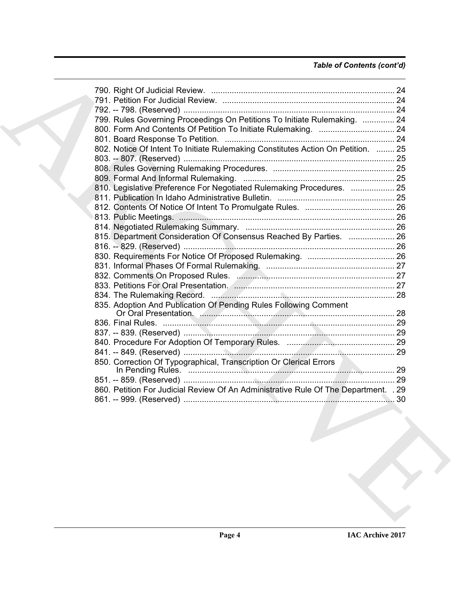## *Table of Contents (cont'd)*

| 790. Right Of Judicial Review. …………………………………………………………………… 24                        |  |
|-------------------------------------------------------------------------------------|--|
|                                                                                     |  |
|                                                                                     |  |
| 799. Rules Governing Proceedings On Petitions To Initiate Rulemaking.  24           |  |
|                                                                                     |  |
|                                                                                     |  |
| 802. Notice Of Intent To Initiate Rulemaking Constitutes Action On Petition.  25    |  |
|                                                                                     |  |
|                                                                                     |  |
|                                                                                     |  |
| 810. Legislative Preference For Negotiated Rulemaking Procedures.  25               |  |
|                                                                                     |  |
|                                                                                     |  |
|                                                                                     |  |
|                                                                                     |  |
| 815. Department Consideration Of Consensus Reached By Parties.  26                  |  |
|                                                                                     |  |
|                                                                                     |  |
|                                                                                     |  |
|                                                                                     |  |
|                                                                                     |  |
|                                                                                     |  |
| 835. Adoption And Publication Of Pending Rules Following Comment                    |  |
|                                                                                     |  |
|                                                                                     |  |
|                                                                                     |  |
|                                                                                     |  |
|                                                                                     |  |
| 850. Correction Of Typographical, Transcription Or Clerical Errors                  |  |
|                                                                                     |  |
|                                                                                     |  |
| 860. Petition For Judicial Review Of An Administrative Rule Of The Department. . 29 |  |
|                                                                                     |  |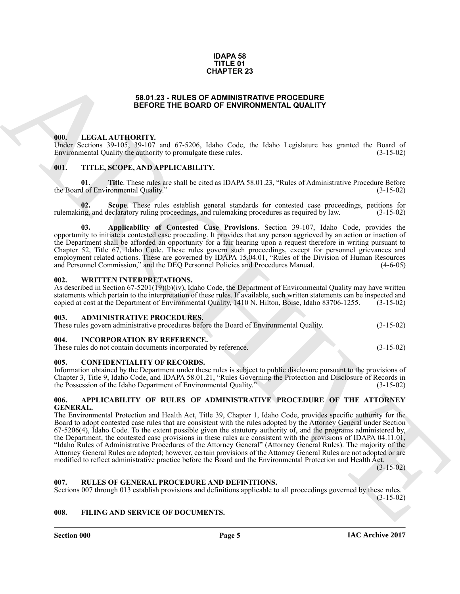#### **IDAPA 58 TITLE 01 CHAPTER 23**

#### **58.01.23 - RULES OF ADMINISTRATIVE PROCEDURE BEFORE THE BOARD OF ENVIRONMENTAL QUALITY**

#### <span id="page-4-1"></span><span id="page-4-0"></span>**000. LEGAL AUTHORITY.**

Under Sections 39-105, 39-107 and 67-5206, Idaho Code, the Idaho Legislature has granted the Board of Environmental Quality the authority to promulgate these rules. (3-15-02) Environmental Quality the authority to promulgate these rules.

#### <span id="page-4-2"></span>**001. TITLE, SCOPE, AND APPLICABILITY.**

**01. Title**. These rules are shall be cited as IDAPA 58.01.23, "Rules of Administrative Procedure Before d of Environmental Quality." (3-15-02) the Board of Environmental Quality."

**Scope**. These rules establish general standards for contested case proceedings, petitions for leclaratory ruling proceedings, and rulemaking procedures as required by law. (3-15-02) rulemaking, and declaratory ruling proceedings, and rulemaking procedures as required by law.

**03. Applicability of Contested Case Provisions**. Section 39-107, Idaho Code, provides the opportunity to initiate a contested case proceeding. It provides that any person aggrieved by an action or inaction of the Department shall be afforded an opportunity for a fair hearing upon a request therefore in writing pursuant to Chapter 52, Title 67, Idaho Code. These rules govern such proceedings, except for personnel grievances and employment related actions. These are governed by IDAPA 15.04.01, "Rules of the Division of Human Resources and Personnel Commission," and the DEQ Personnel Policies and Procedures Manual. (4-6-05)

#### <span id="page-4-3"></span>**002. WRITTEN INTERPRETATIONS.**

As described in Section 67-5201(19)(b)(iv), Idaho Code, the Department of Environmental Quality may have written statements which pertain to the interpretation of these rules. If available, such written statements can be inspected and copied at cost at the Department of Environmental Quality, 1410 N. Hilton, Boise, Idaho 83706-1255. copied at cost at the Department of Environmental Quality, 1410 N. Hilton, Boise, Idaho 83706-1255.

#### <span id="page-4-4"></span>**003. ADMINISTRATIVE PROCEDURES.**

|  |  | These rules govern administrative procedures before the Board of Environmental Quality. | $(3-15-02)$ |
|--|--|-----------------------------------------------------------------------------------------|-------------|

## <span id="page-4-5"></span>**004. INCORPORATION BY REFERENCE.**

| These rules do not contain documents incorporated by reference. | $(3-15-02)$ |
|-----------------------------------------------------------------|-------------|
|-----------------------------------------------------------------|-------------|

## <span id="page-4-6"></span>**005. CONFIDENTIALITY OF RECORDS.**

Information obtained by the Department under these rules is subject to public disclosure pursuant to the provisions of Chapter 3, Title 9, Idaho Code, and IDAPA 58.01.21, "Rules Governing the Protection and Disclosure of Records in the Possession of the Idaho Department of Environmental Quality."

#### <span id="page-4-7"></span>**006. APPLICABILITY OF RULES OF ADMINISTRATIVE PROCEDURE OF THE ATTORNEY GENERAL.**

**SABLES - RULE COMPRETERS**<br> **SABLES - RULE OF COMPRETENT CONTINUESTIES**<br> **SABLES - RULE COMPRETENT CONTINUESTIES**<br> **SABLES - RULE COMPRETENT CONTINUESTIES**<br> **CONTINUESTIES**<br> **CONTINUESTIES**<br> **CONTINUESTIES**<br> **CONTINUESTIE** The Environmental Protection and Health Act, Title 39, Chapter 1, Idaho Code, provides specific authority for the Board to adopt contested case rules that are consistent with the rules adopted by the Attorney General under Section 67-5206(4), Idaho Code. To the extent possible given the statutory authority of, and the programs administered by, the Department, the contested case provisions in these rules are consistent with the provisions of IDAPA 04.11.01, "Idaho Rules of Administrative Procedures of the Attorney General" (Attorney General Rules). The majority of the Attorney General Rules are adopted; however, certain provisions of the Attorney General Rules are not adopted or are modified to reflect administrative practice before the Board and the Environmental Protection and Health Act.

 $(3-15-02)$ 

## <span id="page-4-8"></span>**007. RULES OF GENERAL PROCEDURE AND DEFINITIONS.**

Sections 007 through 013 establish provisions and definitions applicable to all proceedings governed by these rules. (3-15-02)

## <span id="page-4-10"></span><span id="page-4-9"></span>**008. FILING AND SERVICE OF DOCUMENTS.**

**Section 000 Page 5**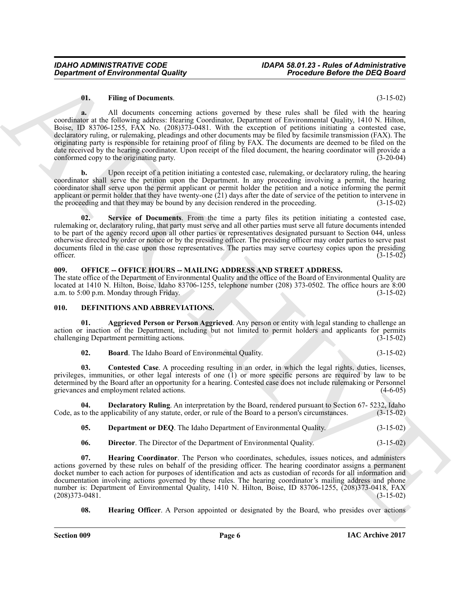#### <span id="page-5-10"></span>**01. Filing of Documents**. (3-15-02)

**Considered of Environmental Quality<br>
U. This spin December 2002 and the Distribution of the Columbia spin Considered of the Columbia spin Columbia spin Columbia spin Columbia spin Columbia spin Columbia spin Columbia spi a.** All documents concerning actions governed by these rules shall be filed with the hearing coordinator at the following address: Hearing Coordinator, Department of Environmental Quality, 1410 N. Hilton, Boise, ID 83706-1255, FAX No. (208)373-0481. With the exception of petitions initiating a contested case, declaratory ruling, or rulemaking, pleadings and other documents may be filed by facsimile transmission (FAX). The originating party is responsible for retaining proof of filing by FAX. The documents are deemed to be filed on the date received by the hearing coordinator. Upon receipt of the filed document, the hearing coordinator will provide a conformed copy to the originating party. (3-20-04)

**b.** Upon receipt of a petition initiating a contested case, rulemaking, or declaratory ruling, the hearing coordinator shall serve the petition upon the Department. In any proceeding involving a permit, the hearing coordinator shall serve upon the permit applicant or permit holder the petition and a notice informing the permit applicant or permit holder that they have twenty-one (21) days after the date of service of the petition to intervene in the proceeding and that they may be bound by any decision rendered in the proceeding. (3-15-02)

<span id="page-5-11"></span>**02. Service of Documents**. From the time a party files its petition initiating a contested case, rulemaking or, declaratory ruling, that party must serve and all other parties must serve all future documents intended to be part of the agency record upon all other parties or representatives designated pursuant to Section 044, unless otherwise directed by order or notice or by the presiding officer. The presiding officer may order parties to serve past documents filed in the case upon those representatives. The parties may serve courtesy copies upon the presiding officer. (3-15-02) officer.  $(3-15-02)$ 

## <span id="page-5-0"></span>009. OFFICE -- OFFICE HOURS -- MAILING ADDRESS AND STREET ADDRESS.

The state office of the Department of Environmental Quality and the office of the Board of Environmental Quality are located at 1410 N. Hilton, Boise, Idaho 83706-1255, telephone number (208) 373-0502. The office hours are 8:00 a.m. to 5:00 p.m. Monday through Friday.

## <span id="page-5-1"></span>**010. DEFINITIONS AND ABBREVIATIONS.**

**01. Aggrieved Person or Person Aggrieved**. Any person or entity with legal standing to challenge an action or inaction of the Department, including but not limited to permit holders and applicants for permits challenging Department permitting actions. (3-15-02)

<span id="page-5-4"></span><span id="page-5-3"></span><span id="page-5-2"></span>

| 02. | <b>Board.</b> The Idaho Board of Environmental Quality. | $(3-15-02)$ |
|-----|---------------------------------------------------------|-------------|
|-----|---------------------------------------------------------|-------------|

**03.** Contested Case. A proceeding resulting in an order, in which the legal rights, duties, licenses, privileges, immunities, or other legal interests of one (1) or more specific persons are required by law to be determined by the Board after an opportunity for a hearing. Contested case does not include rulemaking or Personnel grievances and employment related actions.

**04. Declaratory Ruling**. An interpretation by the Board, rendered pursuant to Section 67- 5232, Idaho to the applicability of any statute, order, or rule of the Board to a person's circumstances. (3-15-02) Code, as to the applicability of any statute, order, or rule of the Board to a person's circumstances.

<span id="page-5-6"></span><span id="page-5-5"></span>**05. Department or DEQ**. The Idaho Department of Environmental Quality. (3-15-02)

<span id="page-5-8"></span><span id="page-5-7"></span>**06. Director**. The Director of the Department of Environmental Quality. (3-15-02)

**07. Hearing Coordinator**. The Person who coordinates, schedules, issues notices, and administers actions governed by these rules on behalf of the presiding officer. The hearing coordinator assigns a permanent docket number to each action for purposes of identification and acts as custodian of records for all information and documentation involving actions governed by these rules. The hearing coordinator's mailing address and phone number is: Department of Environmental Quality, 1410 N. Hilton, Boise, ID 83706-1255, (208)373-0418, FAX (208)373-0481. (3-15-02)  $(208)373 - 0481.$ 

<span id="page-5-9"></span>**08. Hearing Officer**. A Person appointed or designated by the Board, who presides over actions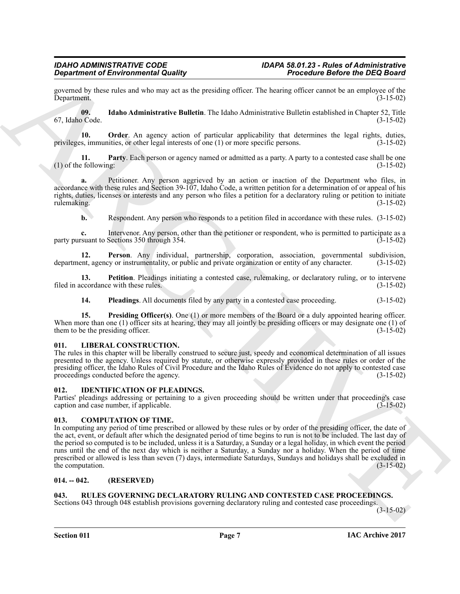governed by these rules and who may act as the presiding officer. The hearing officer cannot be an employee of the Department. (3-15-02)

<span id="page-6-6"></span>**09. Idaho Administrative Bulletin**. The Idaho Administrative Bulletin established in Chapter 52, Title 67, Idaho Code.  $(3-15-02)$ 

<span id="page-6-7"></span>**10. Order**. An agency action of particular applicability that determines the legal rights, duties, s. immunities, or other legal interests of one (1) or more specific persons. (3-15-02) privileges, immunities, or other legal interests of one  $(1)$  or more specific persons.

<span id="page-6-8"></span>**Party**. Each person or agency named or admitted as a party. A party to a contested case shall be one (3-15-02)  $(1)$  of the following:

**a.** Petitioner. Any person aggrieved by an action or inaction of the Department who files, in accordance with these rules and Section 39-107, Idaho Code, a written petition for a determination of or appeal of his rights, duties, licenses or interests and any person who files a petition for a declaratory ruling or petition to initiate rulemaking. (3-15-02) rulemaking. (3-15-02)

<span id="page-6-9"></span>**b.** Respondent. Any person who responds to a petition filed in accordance with these rules.  $(3-15-02)$ 

**c.** Intervenor. Any person, other than the petitioner or respondent, who is permitted to participate as a result to Sections 350 through 354. party pursuant to Sections 350 through 354.

**12. Person**. Any individual, partnership, corporation, association, governmental subdivision, ent, agency or instrumentality, or public and private organization or entity of any character. (3-15-02) department, agency or instrumentality, or public and private organization or entity of any character.

**13.** Petition. Pleadings initiating a contested case, rulemaking, or declaratory ruling, or to intervene ccordance with these rules. (3-15-02) filed in accordance with these rules.

<span id="page-6-12"></span><span id="page-6-11"></span><span id="page-6-10"></span>**14. Pleadings**. All documents filed by any party in a contested case proceeding. (3-15-02)

**15. Presiding Officer(s)**. One (1) or more members of the Board or a duly appointed hearing officer. When more than one (1) officer sits at hearing, they may all jointly be presiding officers or may designate one (1) of them to be the presiding officer. (3-15-02) them to be the presiding officer.

## <span id="page-6-14"></span><span id="page-6-0"></span>**011. LIBERAL CONSTRUCTION.**

The rules in this chapter will be liberally construed to secure just, speedy and economical determination of all issues presented to the agency. Unless required by statute, or otherwise expressly provided in these rules or order of the presiding officer, the Idaho Rules of Civil Procedure and the Idaho Rules of Evidence do not apply to contested case proceedings conducted before the agency. (3-15-02) (3-15-02)

<span id="page-6-13"></span><span id="page-6-1"></span>**012. IDENTIFICATION OF PLEADINGS.**

Parties' pleadings addressing or pertaining to a given proceeding should be written under that proceeding's case caption and case number, if applicable. (3-15-02)

## <span id="page-6-5"></span><span id="page-6-2"></span>**013. COMPUTATION OF TIME.**

Graduation of Environmental Quality<br>
System of the resulting state of the president of the state state is the consistent of the state of the DEG Book<br>
System of the state of the state of the state of the state of the stat In computing any period of time prescribed or allowed by these rules or by order of the presiding officer, the date of the act, event, or default after which the designated period of time begins to run is not to be included. The last day of the period so computed is to be included, unless it is a Saturday, a Sunday or a legal holiday, in which event the period runs until the end of the next day which is neither a Saturday, a Sunday nor a holiday. When the period of time prescribed or allowed is less than seven (7) days, intermediate Saturdays, Sundays and holidays shall be excluded in the computation. (3-15-02) the computation.

## <span id="page-6-3"></span>**014. -- 042. (RESERVED)**

## <span id="page-6-15"></span><span id="page-6-4"></span>**043. RULES GOVERNING DECLARATORY RULING AND CONTESTED CASE PROCEEDINGS.**

Sections 043 through 048 establish provisions governing declaratory ruling and contested case proceedings.

(3-15-02)

**Section 011 Page 7**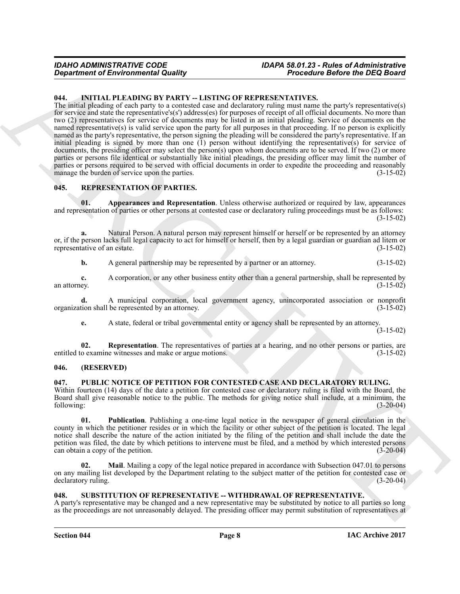#### <span id="page-7-5"></span><span id="page-7-0"></span>**044. INITIAL PLEADING BY PARTY -- LISTING OF REPRESENTATIVES.**

General de Encoremental Quality<br>
16 (ENTIAL PLANNES DE REPUBBLICATION DE REPUBBLICATION (CONTROLLER DE CONSUMER DE CONSUMER DE CONSUMER DE CONSUMER DE CONSUMER DE CONSUMER DE CONSUMER DE CONSUMER DE CONSUMER DE CONSUMER D The initial pleading of each party to a contested case and declaratory ruling must name the party's representative(s) for service and state the representative's(s') address(es) for purposes of receipt of all official documents. No more than two (2) representatives for service of documents may be listed in an initial pleading. Service of documents on the named representative(s) is valid service upon the party for all purposes in that proceeding. If no person is explicitly named as the party's representative, the person signing the pleading will be considered the party's representative. If an initial pleading is signed by more than one (1) person without identifying the representative(s) for service of documents, the presiding officer may select the person(s) upon whom documents are to be served. If two (2) or more parties or persons file identical or substantially like initial pleadings, the presiding officer may limit the number of parties or persons required to be served with official documents in order to expedite the proceeding and reasonably manage the burden of service upon the parties. (3-15-02) manage the burden of service upon the parties.

## <span id="page-7-9"></span><span id="page-7-1"></span>**045. REPRESENTATION OF PARTIES.**

<span id="page-7-10"></span>**01. Appearances and Representation**. Unless otherwise authorized or required by law, appearances and representation of parties or other persons at contested case or declaratory ruling proceedings must be as follows:  $(3-15-02)$ 

**a.** Natural Person. A natural person may represent himself or herself or be represented by an attorney or, if the person lacks full legal capacity to act for himself or herself, then by a legal guardian or guardian ad litem or representative of an estate.

**b.** A general partnership may be represented by a partner or an attorney. (3-15-02)

**c.** A corporation, or any other business entity other than a general partnership, shall be represented by ey.  $(3-15-02)$ an attorney. (3-15-02)

**d.** A municipal corporation, local government agency, unincorporated association or nonprofit tion shall be represented by an attorney. (3-15-02) organization shall be represented by an attorney.

<span id="page-7-11"></span>**e.** A state, federal or tribal governmental entity or agency shall be represented by an attorney.

 $(3-15-02)$ 

**02.** Representation. The representatives of parties at a hearing, and no other persons or parties, are o examine witnesses and make or argue motions. (3-15-02) entitled to examine witnesses and make or argue motions.

#### <span id="page-7-2"></span>**046. (RESERVED)**

## <span id="page-7-6"></span><span id="page-7-3"></span>**047. PUBLIC NOTICE OF PETITION FOR CONTESTED CASE AND DECLARATORY RULING.**

Within fourteen (14) days of the date a petition for contested case or declaratory ruling is filed with the Board, the Board shall give reasonable notice to the public. The methods for giving notice shall include, at a minimum, the following: (3-20-04)

<span id="page-7-8"></span>**01. Publication**. Publishing a one-time legal notice in the newspaper of general circulation in the county in which the petitioner resides or in which the facility or other subject of the petition is located. The legal notice shall describe the nature of the action initiated by the filing of the petition and shall include the date the petition was filed, the date by which petitions to intervene must be filed, and a method by which interested persons can obtain a copy of the petition. (3-20-04) can obtain a copy of the petition.

<span id="page-7-7"></span>**02. Mail**. Mailing a copy of the legal notice prepared in accordance with Subsection 047.01 to persons on any mailing list developed by the Department relating to the subject matter of the petition for contested case or declaratory ruling. (3-20-04) declaratory ruling.

#### <span id="page-7-12"></span><span id="page-7-4"></span>**048. SUBSTITUTION OF REPRESENTATIVE -- WITHDRAWAL OF REPRESENTATIVE.**

A party's representative may be changed and a new representative may be substituted by notice to all parties so long as the proceedings are not unreasonably delayed. The presiding officer may permit substitution of representatives at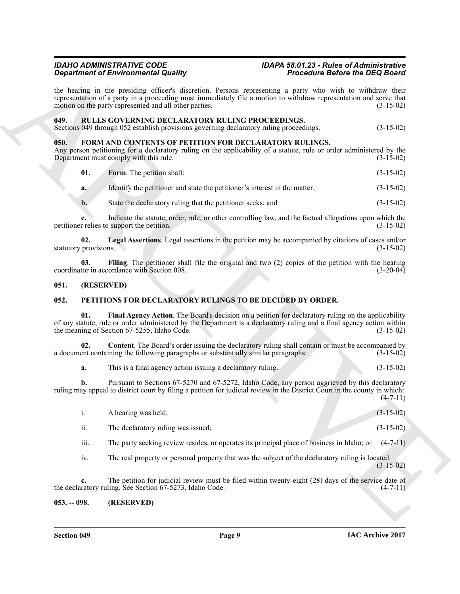## <span id="page-8-12"></span><span id="page-8-7"></span><span id="page-8-5"></span><span id="page-8-1"></span><span id="page-8-0"></span>*IDAHO ADMINISTRATIVE CODE IDAPA 58.01.23 - Rules of Administrative*

|                              | <b>Department of Environmental Quality</b>                                                                                                                                                                                                                                                 | <b>Procedure Before the DEQ Board</b> |             |  |
|------------------------------|--------------------------------------------------------------------------------------------------------------------------------------------------------------------------------------------------------------------------------------------------------------------------------------------|---------------------------------------|-------------|--|
|                              | the hearing in the presiding officer's discretion. Persons representing a party who wish to withdraw their<br>representation of a party in a proceeding must immediately file a motion to withdraw representation and serve that<br>motion on the party represented and all other parties. |                                       | $(3-15-02)$ |  |
| 049.                         | RULES GOVERNING DECLARATORY RULING PROCEEDINGS.<br>Sections 049 through 052 establish provisions governing declaratory ruling proceedings.                                                                                                                                                 |                                       | $(3-15-02)$ |  |
| 050.                         | FORM AND CONTENTS OF PETITION FOR DECLARATORY RULINGS.<br>Any person petitioning for a declaratory ruling on the applicability of a statute, rule or order administered by the<br>Department must comply with this rule.                                                                   |                                       | $(3-15-02)$ |  |
| 01.                          | Form. The petition shall:                                                                                                                                                                                                                                                                  |                                       | $(3-15-02)$ |  |
| a.                           | Identify the petitioner and state the petitioner's interest in the matter;                                                                                                                                                                                                                 |                                       | $(3-15-02)$ |  |
| $\mathbf{b}$ .               | State the declaratory ruling that the petitioner seeks; and                                                                                                                                                                                                                                |                                       | $(3-15-02)$ |  |
|                              | Indicate the statute, order, rule, or other controlling law, and the factual allegations upon which the<br>petitioner relies to support the petition.                                                                                                                                      |                                       | $(3-15-02)$ |  |
| 02.<br>statutory provisions. | Legal Assertions. Legal assertions in the petition may be accompanied by citations of cases and/or                                                                                                                                                                                         |                                       | $(3-15-02)$ |  |
| 03.                          | Filing. The petitioner shall file the original and two (2) copies of the petition with the hearing<br>coordinator in accordance with Section 008.                                                                                                                                          |                                       | $(3-20-04)$ |  |
| 051.                         | (RESERVED)                                                                                                                                                                                                                                                                                 |                                       |             |  |
| 052.                         | PETITIONS FOR DECLARATORY RULINGS TO BE DECIDED BY ORDER.                                                                                                                                                                                                                                  |                                       |             |  |
| 01.                          | Final Agency Action. The Board's decision on a petition for declaratory ruling on the applicability<br>of any statute, rule or order administered by the Department is a declaratory ruling and a final agency action within<br>the meaning of Section 67-5255, Idaho Code.                |                                       | $(3-15-02)$ |  |
| 02.                          | <b>Content</b> . The Board's order issuing the declaratory ruling shall contain or must be accompanied by<br>a document containing the following paragraphs or substantially similar paragraphs:                                                                                           |                                       | $(3-15-02)$ |  |
| a.                           | This is a final agency action issuing a declaratory ruling.                                                                                                                                                                                                                                |                                       | $(3-15-02)$ |  |
| b.                           | Pursuant to Sections 67-5270 and 67-5272, Idaho Code, any person aggrieved by this declaratory<br>ruling may appeal to district court by filing a petition for judicial review in the District Court in the county in which:                                                               |                                       | $(4-7-11)$  |  |
| $\rm i.$                     | A hearing was held;                                                                                                                                                                                                                                                                        |                                       | $(3-15-02)$ |  |
| ii.                          | The declaratory ruling was issued;                                                                                                                                                                                                                                                         |                                       | $(3-15-02)$ |  |
|                              | The party seeking review resides, or operates its principal place of business in Idaho; or                                                                                                                                                                                                 |                                       | $(4-7-11)$  |  |
| iii.                         |                                                                                                                                                                                                                                                                                            |                                       |             |  |
| iv.                          | The real property or personal property that was the subject of the declaratory ruling is located.                                                                                                                                                                                          |                                       | $(3-15-02)$ |  |
| c.                           | The petition for judicial review must be filed within twenty-eight (28) days of the service date of<br>the declaratory ruling. See Section 67-5273, Idaho Code.                                                                                                                            |                                       | $(4-7-11)$  |  |

#### <span id="page-8-8"></span><span id="page-8-6"></span><span id="page-8-2"></span>**051. (RESERVED)**

## <span id="page-8-11"></span><span id="page-8-10"></span><span id="page-8-9"></span><span id="page-8-3"></span>**052. PETITIONS FOR DECLARATORY RULINGS TO BE DECIDED BY ORDER.**

|                  | A hearing was held;                | $(3-15-02)$ |
|------------------|------------------------------------|-------------|
| $\ddotsc$<br>11. | The declaratory ruling was issued; | $(3-15-02)$ |

- iii. The party seeking review resides, or operates its principal place of business in Idaho; or (4-7-11)
- iv. The real property or personal property that was the subject of the declaratory ruling is located.  $(3-15-02)$

#### <span id="page-8-4"></span>**053. -- 098. (RESERVED)**

**Section 049 Page 9**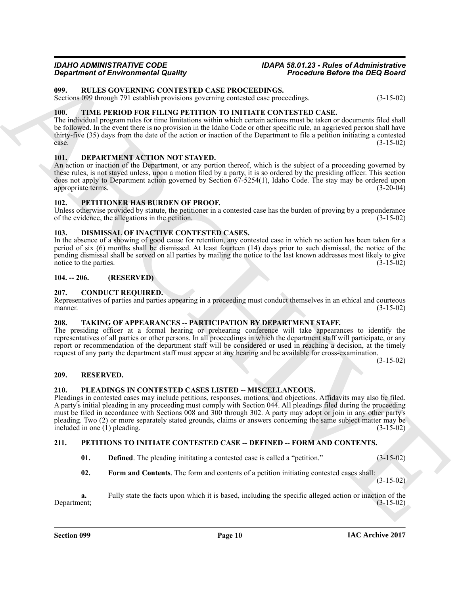## *IDAHO ADMINISTRATIVE CODE IDAPA 58.01.23 - Rules of Administrative*

<span id="page-9-19"></span><span id="page-9-0"></span>**099. RULES GOVERNING CONTESTED CASE PROCEEDINGS.**

Sections 099 through 791 establish provisions governing contested case proceedings. (3-15-02)

#### <span id="page-9-21"></span><span id="page-9-1"></span>**100. TIME PERIOD FOR FILING PETITION TO INITIATE CONTESTED CASE.**

The individual program rules for time limitations within which certain actions must be taken or documents filed shall be followed. In the event there is no provision in the Idaho Code or other specific rule, an aggrieved person shall have thirty-five (35) days from the date of the action or inaction of the Department to file a petition initiating a contested  $\csc 3 = (3-15-02)$ 

## <span id="page-9-12"></span><span id="page-9-2"></span>**101. DEPARTMENT ACTION NOT STAYED.**

An action or inaction of the Department, or any portion thereof, which is the subject of a proceeding governed by these rules, is not stayed unless, upon a motion filed by a party, it is so ordered by the presiding officer. This section does not apply to Department action governed by Section 67-5254(1), Idaho Code. The stay may be ordered upon appropriate terms. appropriate terms.

#### <span id="page-9-14"></span><span id="page-9-3"></span>**102. PETITIONER HAS BURDEN OF PROOF.**

Unless otherwise provided by statute, the petitioner in a contested case has the burden of proving by a preponderance of the evidence, the allegations in the petition. of the evidence, the allegations in the petition.

#### <span id="page-9-13"></span><span id="page-9-4"></span>**103. DISMISSAL OF INACTIVE CONTESTED CASES.**

In the absence of a showing of good cause for retention, any contested case in which no action has been taken for a period of six (6) months shall be dismissed. At least fourteen (14) days prior to such dismissal, the notice of the pending dismissal shall be served on all parties by mailing the notice to the last known addresses most likely to give notice to the parties.

#### <span id="page-9-5"></span>**104. -- 206. (RESERVED)**

#### <span id="page-9-11"></span><span id="page-9-6"></span>**207. CONDUCT REQUIRED.**

Representatives of parties and parties appearing in a proceeding must conduct themselves in an ethical and courteous manner. (3-15-02) manner. (3-15-02)

## <span id="page-9-20"></span><span id="page-9-7"></span>**208. TAKING OF APPEARANCES -- PARTICIPATION BY DEPARTMENT STAFF.**

The presiding officer at a formal hearing or prehearing conference will take appearances to identify the representatives of all parties or other persons. In all proceedings in which the department staff will participate, or any report or recommendation of the department staff will be considered or used in reaching a decision, at the timely request of any party the department staff must appear at any hearing and be available for cross-examination.

(3-15-02)

## <span id="page-9-8"></span>**209. RESERVED.**

#### <span id="page-9-18"></span><span id="page-9-9"></span>**210. PLEADINGS IN CONTESTED CASES LISTED -- MISCELLANEOUS.**

**Society** of ENERGY ACTION VALUED CASE PROCEEDANCE (Second of Becker Becker Becker Becker Becker Becker Becker<br>
Second of Becker PN collection (Second of Becker Becker Becker Becker Becker Becker Becker Becker Becker Beck Pleadings in contested cases may include petitions, responses, motions, and objections. Affidavits may also be filed. A party's initial pleading in any proceeding must comply with Section 044. All pleadings filed during the proceeding must be filed in accordance with Sections 008 and 300 through 302. A party may adopt or join in any other party's pleading. Two (2) or more separately stated grounds, claims or answers concerning the same subject matter may be included in one (1) pleading. (3-15-02) included in one  $(1)$  pleading.

## <span id="page-9-10"></span>**211. PETITIONS TO INITIATE CONTESTED CASE -- DEFINED -- FORM AND CONTENTS.**

<span id="page-9-16"></span><span id="page-9-15"></span>**01. Defined**. The pleading inititating a contested case is called a "petition." (3-15-02)

<span id="page-9-17"></span>**02. Form and Contents**. The form and contents of a petition initiating contested cases shall: (3-15-02)

**a.** Fully state the facts upon which it is based, including the specific alleged action or inaction of the Department; (3-15-02) Department; (3-15-02)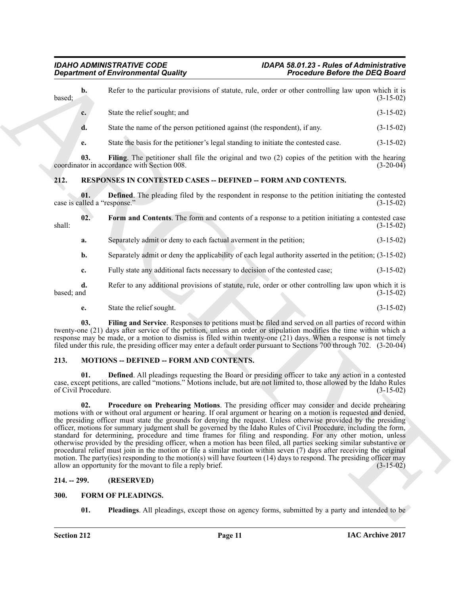**b.** Refer to the particular provisions of statute, rule, order or other controlling law upon which it is (3-15-02)  $\alpha$  based;  $(3-15-02)$ **c.** State the relief sought; and (3-15-02)

**d.** State the name of the person petitioned against (the respondent), if any. (3-15-02)

<span id="page-10-11"></span><span id="page-10-9"></span>**e.** State the basis for the petitioner's legal standing to initiate the contested case.  $(3-15-02)$ 

**03.** Filing. The petitioner shall file the original and two (2) copies of the petition with the hearing tor in accordance with Section 008. (3-20-04) coordinator in accordance with Section 008.

## <span id="page-10-10"></span><span id="page-10-0"></span>**212. RESPONSES IN CONTESTED CASES -- DEFINED -- FORM AND CONTENTS.**

<span id="page-10-13"></span>**01. Defined**. The pleading filed by the respondent in response to the petition initiating the contested alled a "response." (3-15-02) case is called a "response."

**Expansion of Environmental Quality.**<sup>112</sup> Procedure Before Bernard Environmental Reservoirs Control and the publishing the publishing the publishing the specifical set of the publishing the specifical set of the specific **02. Form and Contents**. The form and contents of a response to a petition initiating a contested case shall: (3-15-02) **a.** Separately admit or deny to each factual averment in the petition; (3-15-02) **b.** Separately admit or deny the applicability of each legal authority asserted in the petition; (3-15-02) **c.** Fully state any additional facts necessary to decision of the contested case; (3-15-02) **d.** Refer to any additional provisions of statute, rule, order or other controlling law upon which it is based; and  $(3-15-02)$  $\alpha$  based; and  $(3-15-02)$ 

<span id="page-10-12"></span>**e.** State the relief sought. (3-15-02)

**03. Filing and Service**. Responses to petitions must be filed and served on all parties of record within twenty-one (21) days after service of the petition, unless an order or stipulation modifies the time within which a response may be made, or a motion to dismiss is filed within twenty-one (21) days. When a response is not timely filed under this rule, the presiding officer may enter a default order pursuant to Sections 700 through 702. (3-20-04)

## <span id="page-10-6"></span><span id="page-10-1"></span>**213. MOTIONS -- DEFINED -- FORM AND CONTENTS.**

<span id="page-10-7"></span>**01. Defined**. All pleadings requesting the Board or presiding officer to take any action in a contested case, except petitions, are called "motions." Motions include, but are not limited to, those allowed by the Idaho Rules of Civil Procedure.

<span id="page-10-8"></span>**02. Procedure on Prehearing Motions**. The presiding officer may consider and decide prehearing motions with or without oral argument or hearing. If oral argument or hearing on a motion is requested and denied, the presiding officer must state the grounds for denying the request. Unless otherwise provided by the presiding officer, motions for summary judgment shall be governed by the Idaho Rules of Civil Procedure, including the form, standard for determining, procedure and time frames for filing and responding. For any other motion, unless otherwise provided by the presiding officer, when a motion has been filed, all parties seeking similar substantive or procedural relief must join in the motion or file a similar motion within seven (7) days after receiving the original motion. The party(ies) responding to the motion(s) will have fourteen (14) days to respond. The presiding officer may allow an opportunity for the movant to file a reply brief.  $(3-15-02)$ allow an opportunity for the movant to file a reply brief.

## <span id="page-10-2"></span>**214. -- 299. (RESERVED)**

## <span id="page-10-3"></span>**300. FORM OF PLEADINGS.**

<span id="page-10-5"></span><span id="page-10-4"></span>**01.** Pleadings. All pleadings, except those on agency forms, submitted by a party and intended to be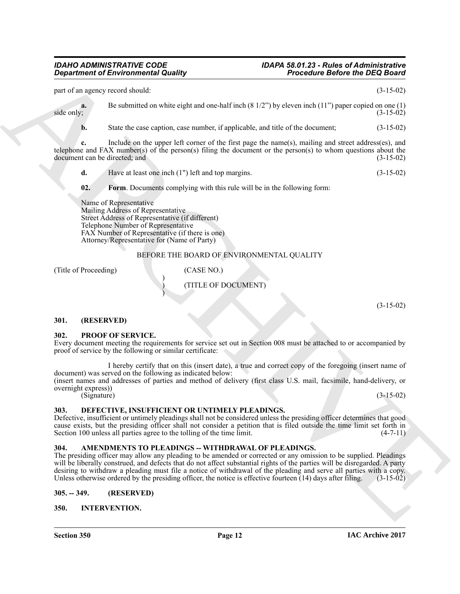part of an agency record should: (3-15-02)

**a.** Be submitted on white eight and one-half inch (8 1/2") by eleven inch (11") paper copied on one (1) side only: (3-15-02) side only;  $(3-15-02)$ 

**b.** State the case caption, case number, if applicable, and title of the document; (3-15-02)

**c.** Include on the upper left corner of the first page the name(s), mailing and street address(es), and telephone and FAX number(s) of the person(s) filing the document or the person(s) to whom questions about the document can be directed; and (3-15-02)

**d.** Have at least one inch (1") left and top margins. (3-15-02)

<span id="page-11-8"></span>**02. Form**. Documents complying with this rule will be in the following form:

Name of Representative Mailing Address of Representative Street Address of Representative (if different) Telephone Number of Representative FAX Number of Representative (if there is one) Attorney/Representative for (Name of Party)

)

)

## BEFORE THE BOARD OF ENVIRONMENTAL QUALITY

(Title of Proceeding) (CASE NO.)

) (TITLE OF DOCUMENT)

(3-15-02)

## <span id="page-11-0"></span>**301. (RESERVED)**

## <span id="page-11-10"></span><span id="page-11-1"></span>**302. PROOF OF SERVICE.**

Every document meeting the requirements for service set out in Section 008 must be attached to or accompanied by proof of service by the following or similar certificate:

I hereby certify that on this (insert date), a true and correct copy of the foregoing (insert name of document) was served on the following as indicated below:

(insert names and addresses of parties and method of delivery (first class U.S. mail, facsimile, hand-delivery, or overnight express))  $(3-15-02)$ 

<span id="page-11-7"></span>

## <span id="page-11-2"></span>**303. DEFECTIVE, INSUFFICIENT OR UNTIMELY PLEADINGS.**

Defective, insufficient or untimely pleadings shall not be considered unless the presiding officer determines that good cause exists, but the presiding officer shall not consider a petition that is filed outside the time limit set forth in Section 100 unless all parties agree to the tolling of the time limit. (4-7-11) Section 100 unless all parties agree to the tolling of the time limit.

## <span id="page-11-6"></span><span id="page-11-3"></span>**304. AMENDMENTS TO PLEADINGS -- WITHDRAWAL OF PLEADINGS.**

**Expansion of Environmental Quality<br>
Space Associates the DEG Board<br>
Space Associates the content of the China Content of Associates (1) pape rated (1) and (1)<br>
and the case of the space of the China Content of Associates** The presiding officer may allow any pleading to be amended or corrected or any omission to be supplied. Pleadings will be liberally construed, and defects that do not affect substantial rights of the parties will be disregarded. A party desiring to withdraw a pleading must file a notice of withdrawal of the pleading and serve all parties with a copy.<br>Unless otherwise ordered by the presiding officer, the notice is effective fourteen (14) days after filing Unless otherwise ordered by the presiding officer, the notice is effective fourteen  $(14)$  days after filing.

<span id="page-11-4"></span>**305. -- 349. (RESERVED)**

## <span id="page-11-9"></span><span id="page-11-5"></span>**350. INTERVENTION.**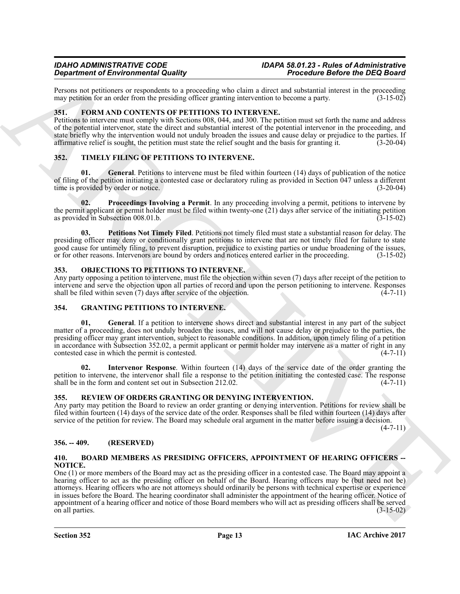Persons not petitioners or respondents to a proceeding who claim a direct and substantial interest in the proceeding may petition for an order from the presiding officer granting intervention to become a party. (3-15-02) may petition for an order from the presiding officer granting intervention to become a party.

#### <span id="page-12-8"></span><span id="page-12-0"></span>**351. FORM AND CONTENTS OF PETITIONS TO INTERVENE.**

Petitions to intervene must comply with Sections 008, 044, and 300. The petition must set forth the name and address of the potential intervenor, state the direct and substantial interest of the potential intervenor in the proceeding, and state briefly why the intervention would not unduly broaden the issues and cause delay or prejudice to the parties. If affirmative relief is sought, the petition must state the relief sought and the basis for granting it. (3-20-04)

## <span id="page-12-14"></span><span id="page-12-1"></span>**352. TIMELY FILING OF PETITIONS TO INTERVENE.**

<span id="page-12-15"></span>**01.** General. Petitions to intervene must be filed within fourteen (14) days of publication of the notice of filing of the petition initiating a contested case or declaratory ruling as provided in Section 047 unless a different time is provided by order or notice. (3-20-04) time is provided by order or notice.

<span id="page-12-17"></span>**02. Proceedings Involving a Permit**. In any proceeding involving a permit, petitions to intervene by the permit applicant or permit holder must be filed within twenty-one  $(21)$  days after service of the initiating petition as provided in Subsection 008.01.b.  $(3-15-02)$ as provided in Subsection 008.01.b.

<span id="page-12-16"></span>**03. Petitions Not Timely Filed**. Petitions not timely filed must state a substantial reason for delay. The presiding officer may deny or conditionally grant petitions to intervene that are not timely filed for failure to state good cause for untimely filing, to prevent disruption, prejudice to existing parties or undue broadening of the issues, or for other reasons. Intervenors are bound by orders and notices entered earlier in the proceeding. ( or for other reasons. Intervenors are bound by orders and notices entered earlier in the proceeding.

## <span id="page-12-12"></span><span id="page-12-2"></span>**353. OBJECTIONS TO PETITIONS TO INTERVENE.**

Any party opposing a petition to intervene, must file the objection within seven (7) days after receipt of the petition to intervene and serve the objection upon all parties of record and upon the person petitioning to intervene. Responses shall be filed within seven  $(7)$  days after service of the objection.

## <span id="page-12-9"></span><span id="page-12-3"></span>**354. GRANTING PETITIONS TO INTERVENE.**

<span id="page-12-10"></span>**01, General**. If a petition to intervene shows direct and substantial interest in any part of the subject matter of a proceeding, does not unduly broaden the issues, and will not cause delay or prejudice to the parties, the presiding officer may grant intervention, subject to reasonable conditions. In addition, upon timely filing of a petition in accordance with Subsection 352.02, a permit applicant or permit holder may intervene as a matter of right in any contested case in which the permit is contested. (4-7-11)

<span id="page-12-11"></span>**02. Intervenor Response**. Within fourteen (14) days of the service date of the order granting the petition to intervene, the intervenor shall file a response to the petition initiating the contested case. The response shall be in the form and content set out in Subsection 212.02. shall be in the form and content set out in Subsection 212.02.

## <span id="page-12-13"></span><span id="page-12-4"></span>**355. REVIEW OF ORDERS GRANTING OR DENYING INTERVENTION.**

Any party may petition the Board to review an order granting or denying intervention. Petitions for review shall be filed within fourteen (14) days of the service date of the order. Responses shall be filed within fourteen (14) days after service of the petition for review. The Board may schedule oral argument in the matter before issuing a decision.

<span id="page-12-7"></span> $(4 - 7 - 11)$ 

## <span id="page-12-5"></span>**356. -- 409. (RESERVED)**

#### <span id="page-12-6"></span>**410. BOARD MEMBERS AS PRESIDING OFFICERS, APPOINTMENT OF HEARING OFFICERS -- NOTICE.**

*Content of Effective Content (A) and the specified and the specified and the specified and the specified and the specified and the specified and the specified and the specified and the specified and the specified and t* One (1) or more members of the Board may act as the presiding officer in a contested case. The Board may appoint a hearing officer to act as the presiding officer on behalf of the Board. Hearing officers may be (but need not be) attorneys. Hearing officers who are not attorneys should ordinarily be persons with technical expertise or experience in issues before the Board. The hearing coordinator shall administer the appointment of the hearing officer. Notice of appointment of a hearing officer and notice of those Board members who will act as presiding officers shall be served<br>on all parties. (3-15-02) on all parties.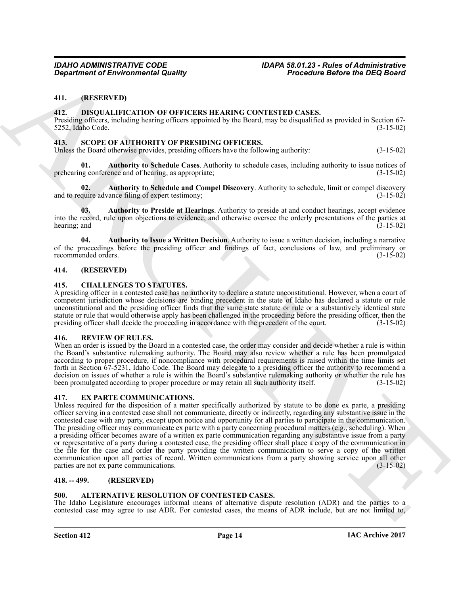#### <span id="page-13-0"></span>**411. (RESERVED)**

#### <span id="page-13-11"></span><span id="page-13-1"></span>**412. DISQUALIFICATION OF OFFICERS HEARING CONTESTED CASES.**

Presiding officers, including hearing officers appointed by the Board, may be disqualified as provided in Section 67- 5252, Idaho Code. (3-15-02)

#### <span id="page-13-14"></span><span id="page-13-2"></span>**413. SCOPE OF AUTHORITY OF PRESIDING OFFICERS.**

Unless the Board otherwise provides, presiding officers have the following authority: (3-15-02)

<span id="page-13-18"></span>**01. Authority to Schedule Cases**. Authority to schedule cases, including authority to issue notices of ng conference and of hearing, as appropriate; (3-15-02) prehearing conference and of hearing, as appropriate;

<span id="page-13-17"></span>**02. Authority to Schedule and Compel Discovery**. Authority to schedule, limit or compel discovery and to require advance filing of expert testimony; (3-15-02)

<span id="page-13-16"></span>**03. Authority to Preside at Hearings**. Authority to preside at and conduct hearings, accept evidence into the record, rule upon objections to evidence, and otherwise oversee the orderly presentations of the parties at hearing; and (3-15-02) (3-15-02)

<span id="page-13-15"></span>**04. Authority to Issue a Written Decision**. Authority to issue a written decision, including a narrative of the proceedings before the presiding officer and findings of fact, conclusions of law, and preliminary or recommended orders. (3-15-02) recommended orders.

#### <span id="page-13-3"></span>**414. (RESERVED)**

## <span id="page-13-10"></span><span id="page-13-4"></span>**415. CHALLENGES TO STATUTES.**

A presiding officer in a contested case has no authority to declare a statute unconstitutional. However, when a court of competent jurisdiction whose decisions are binding precedent in the state of Idaho has declared a statute or rule unconstitutional and the presiding officer finds that the same state statute or rule or a substantively identical state statute or rule that would otherwise apply has been challenged in the proceeding before the presiding officer, then the presiding officer shall decide the proceeding in accordance with the precedent of the court. (3-15-02) presiding officer shall decide the proceeding in accordance with the precedent of the court.

#### <span id="page-13-13"></span><span id="page-13-5"></span>**416. REVIEW OF RULES.**

When an order is issued by the Board in a contested case, the order may consider and decide whether a rule is within the Board's substantive rulemaking authority. The Board may also review whether a rule has been promulgated according to proper procedure, if noncompliance with procedural requirements is raised within the time limits set forth in Section 67-5231, Idaho Code. The Board may delegate to a presiding officer the authority to recommend a decision on issues of whether a rule is within the Board's substantive rulemaking authority or whether the rule has been promulgated according to proper procedure or may retain all such authority itself. (3-15-02) been promulgated according to proper procedure or may retain all such authority itself.

#### <span id="page-13-12"></span><span id="page-13-6"></span>**417. EX PARTE COMMUNICATIONS.**

*Government of Environmental Quality* **COVIDENCIES EVALUATION COVIDENCIES CONSUMPTERS ARCHIVES COVIDENCIES CONSUMPTERS CONSUMPTERS EVALUATION COVIDENCIES EVALUATION CONSUMPTERS CONSUMPTERS EVALUA** Unless required for the disposition of a matter specifically authorized by statute to be done ex parte, a presiding officer serving in a contested case shall not communicate, directly or indirectly, regarding any substantive issue in the contested case with any party, except upon notice and opportunity for all parties to participate in the communication. The presiding officer may communicate ex parte with a party concerning procedural matters (e.g., scheduling). When a presiding officer becomes aware of a written ex parte communication regarding any substantive issue from a party or representative of a party during a contested case, the presiding officer shall place a copy of the communication in the file for the case and order the party providing the written communication to serve a copy of the written communication upon all parties of record. Written communications from a party showing service upon all other parties are not ex parte communications. (3-15-02) parties are not ex parte communications.

#### <span id="page-13-7"></span>**418. -- 499. (RESERVED)**

#### <span id="page-13-9"></span><span id="page-13-8"></span>**500. ALTERNATIVE RESOLUTION OF CONTESTED CASES.**

The Idaho Legislature encourages informal means of alternative dispute resolution (ADR) and the parties to a contested case may agree to use ADR. For contested cases, the means of ADR include, but are not limited to,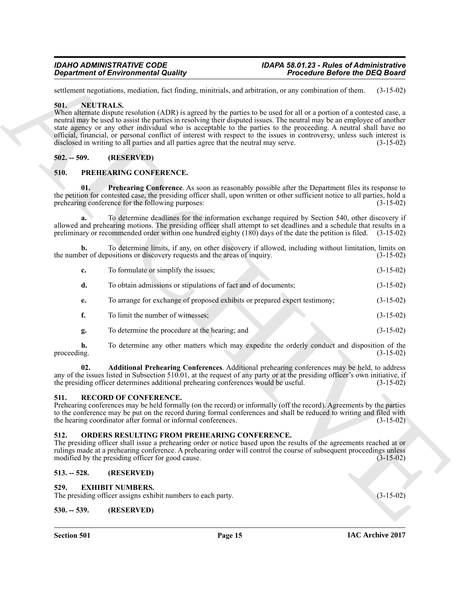## *IDAHO ADMINISTRATIVE CODE IDAPA 58.01.23 - Rules of Administrative*

#### <span id="page-14-9"></span><span id="page-14-0"></span>**501. NEUTRALS.**

## <span id="page-14-1"></span>**502. -- 509. (RESERVED)**

## <span id="page-14-13"></span><span id="page-14-11"></span><span id="page-14-2"></span>**510. PREHEARING CONFERENCE.**

| <b>Department of Environmental Quality</b> |                                                                                                                                                                                                                                                                                                                                                                                                                                                                                                                                                                                                                 | <b>Procedure Before the DEQ Board</b>                                                               |             |  |
|--------------------------------------------|-----------------------------------------------------------------------------------------------------------------------------------------------------------------------------------------------------------------------------------------------------------------------------------------------------------------------------------------------------------------------------------------------------------------------------------------------------------------------------------------------------------------------------------------------------------------------------------------------------------------|-----------------------------------------------------------------------------------------------------|-------------|--|
|                                            | settlement negotiations, mediation, fact finding, minitrials, and arbitration, or any combination of them.                                                                                                                                                                                                                                                                                                                                                                                                                                                                                                      |                                                                                                     | $(3-15-02)$ |  |
| 501.                                       | <b>NEUTRALS.</b><br>When alternate dispute resolution (ADR) is agreed by the parties to be used for all or a portion of a contested case, a<br>neutral may be used to assist the parties in resolving their disputed issues. The neutral may be an employee of another<br>state agency or any other individual who is acceptable to the parties to the proceeding. A neutral shall have no<br>official, financial, or personal conflict of interest with respect to the issues in controversy, unless such interest is<br>disclosed in writing to all parties and all parties agree that the neutral may serve. |                                                                                                     | $(3-15-02)$ |  |
| $502. - 509.$                              | (RESERVED)                                                                                                                                                                                                                                                                                                                                                                                                                                                                                                                                                                                                      |                                                                                                     |             |  |
| 510.                                       | PREHEARING CONFERENCE.                                                                                                                                                                                                                                                                                                                                                                                                                                                                                                                                                                                          |                                                                                                     |             |  |
| 01.                                        | the petition for contested case, the presiding officer shall, upon written or other sufficient notice to all parties, hold a<br>prehearing conference for the following purposes:                                                                                                                                                                                                                                                                                                                                                                                                                               | Prehearing Conference. As soon as reasonably possible after the Department files its response to    | $(3-15-02)$ |  |
| a.                                         | allowed and prehearing motions. The presiding officer shall attempt to set deadlines and a schedule that results in a<br>preliminary or recommended order within one hundred eighty (180) days of the date the petition is filed. (3-15-02)                                                                                                                                                                                                                                                                                                                                                                     | To determine deadlines for the information exchange required by Section 540, other discovery if     |             |  |
| b.                                         | the number of depositions or discovery requests and the areas of inquiry.                                                                                                                                                                                                                                                                                                                                                                                                                                                                                                                                       | To determine limits, if any, on other discovery if allowed, including without limitation, limits on | $(3-15-02)$ |  |
| c.                                         | To formulate or simplify the issues;                                                                                                                                                                                                                                                                                                                                                                                                                                                                                                                                                                            |                                                                                                     | $(3-15-02)$ |  |
| d.                                         | To obtain admissions or stipulations of fact and of documents;                                                                                                                                                                                                                                                                                                                                                                                                                                                                                                                                                  |                                                                                                     | $(3-15-02)$ |  |
| е.                                         | To arrange for exchange of proposed exhibits or prepared expert testimony;                                                                                                                                                                                                                                                                                                                                                                                                                                                                                                                                      |                                                                                                     | $(3-15-02)$ |  |
| f.                                         | To limit the number of witnesses;                                                                                                                                                                                                                                                                                                                                                                                                                                                                                                                                                                               |                                                                                                     | $(3-15-02)$ |  |
| g.                                         | To determine the procedure at the hearing; and                                                                                                                                                                                                                                                                                                                                                                                                                                                                                                                                                                  |                                                                                                     | $(3-15-02)$ |  |
| h.<br>proceeding.                          |                                                                                                                                                                                                                                                                                                                                                                                                                                                                                                                                                                                                                 | To determine any other matters which may expedite the orderly conduct and disposition of the        | $(3-15-02)$ |  |
| 02.                                        | any of the issues listed in Subsection $510.01$ , at the request of any party or at the presiding officer's own initiative, if<br>the presiding officer determines additional prehearing conferences would be useful.                                                                                                                                                                                                                                                                                                                                                                                           | Additional Prehearing Conferences. Additional prehearing conferences may be held, to address        | $(3-15-02)$ |  |
| 511.                                       | <b>RECORD OF CONFERENCE.</b><br>Prehearing conferences may be held formally (on the record) or informally (off the record). Agreements by the parties<br>to the conference may be put on the record during formal conferences and shall be reduced to writing and filed with<br>the hearing coordinator after formal or informal conferences.                                                                                                                                                                                                                                                                   |                                                                                                     | $(3-15-02)$ |  |
| 512.                                       | ORDERS RESULTING FROM PREHEARING CONFERENCE.<br>The presiding officer shall issue a prehearing order or notice based upon the results of the agreements reached at or<br>rulings made at a prehearing conference. A prehearing order will control the course of subsequent proceedings unless<br>modified by the presiding officer for good cause.                                                                                                                                                                                                                                                              |                                                                                                     | $(3-15-02)$ |  |
| $513. - 528.$                              | (RESERVED)                                                                                                                                                                                                                                                                                                                                                                                                                                                                                                                                                                                                      |                                                                                                     |             |  |
| 529.                                       | <b>EXHIBIT NUMBERS.</b><br>The presiding officer assigns exhibit numbers to each party.                                                                                                                                                                                                                                                                                                                                                                                                                                                                                                                         |                                                                                                     | $(3-15-02)$ |  |
| $530. - 539.$                              | (RESERVED)                                                                                                                                                                                                                                                                                                                                                                                                                                                                                                                                                                                                      |                                                                                                     |             |  |

## <span id="page-14-14"></span><span id="page-14-12"></span><span id="page-14-3"></span>**511. RECORD OF CONFERENCE.**

## <span id="page-14-10"></span><span id="page-14-4"></span>**512. ORDERS RESULTING FROM PREHEARING CONFERENCE.**

## <span id="page-14-8"></span><span id="page-14-6"></span><span id="page-14-5"></span>**513. -- 528. (RESERVED)**

## <span id="page-14-7"></span>**530. -- 539. (RESERVED)**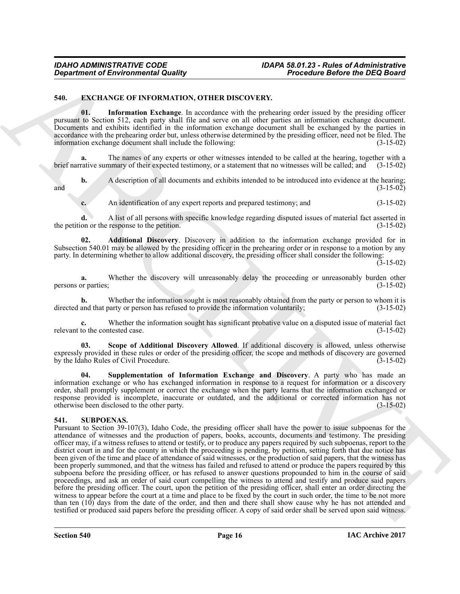## <span id="page-15-2"></span><span id="page-15-0"></span>**540. EXCHANGE OF INFORMATION, OTHER DISCOVERY.**

<span id="page-15-4"></span>**01. Information Exchange**. In accordance with the prehearing order issued by the presiding officer pursuant to Section 512, each party shall file and serve on all other parties an information exchange document. Documents and exhibits identified in the information exchange document shall be exchanged by the parties in accordance with the prehearing order but, unless otherwise determined by the presiding officer, need not be filed. The information exchange document shall include the following: (3-15-02)

**a.** The names of any experts or other witnesses intended to be called at the hearing, together with a brief narrative summary of their expected testimony, or a statement that no witnesses will be called; and (3-15-02)

**b.** A description of all documents and exhibits intended to be introduced into evidence at the hearing;<br>(3-15-02)  $(3-15-02)$ 

<span id="page-15-3"></span>**c.** An identification of any expert reports and prepared testimony; and (3-15-02)

**d.** A list of all persons with specific knowledge regarding disputed issues of material fact asserted in the petition or the response to the petition. (3-15-02)

**02. Additional Discovery**. Discovery in addition to the information exchange provided for in Subsection 540.01 may be allowed by the presiding officer in the prehearing order or in response to a motion by any party. In determining whether to allow additional discovery, the presiding officer shall consider the following:

 $(3-15-02)$ 

**a.** Whether the discovery will unreasonably delay the proceeding or unreasonably burden other or parties; (3-15-02) persons or parties;

**b.** Whether the information sought is most reasonably obtained from the party or person to whom it is and that party or person has refused to provide the information voluntarily; (3-15-02) directed and that party or person has refused to provide the information voluntarily;

**c.** Whether the information sought has significant probative value on a disputed issue of material fact to the contested case. (3-15-02) relevant to the contested case.

<span id="page-15-5"></span>**03. Scope of Additional Discovery Allowed**. If additional discovery is allowed, unless otherwise expressly provided in these rules or order of the presiding officer, the scope and methods of discovery are governed<br>by the Idaho Rules of Civil Procedure. (3-15-02) by the Idaho Rules of Civil Procedure.

<span id="page-15-6"></span>**04. Supplementation of Information Exchange and Discovery**. A party who has made an information exchange or who has exchanged information in response to a request for information or a discovery order, shall promptly supplement or correct the exchange when the party learns that the information exchanged or response provided is incomplete, inaccurate or outdated, and the additional or corrected information has not otherwise been disclosed to the other party. (3-15-02)

#### <span id="page-15-7"></span><span id="page-15-1"></span>**541. SUBPOENAS.**

**Equivariant of Environmental Quality<br>
540. Excellence of Environmental Quality**<br>
540. **Excellence of Environmental Quality**<br> **Excellence of Environmental Columns Excellence of Environmental control and Section 2013**<br> Pursuant to Section 39-107(3), Idaho Code, the presiding officer shall have the power to issue subpoenas for the attendance of witnesses and the production of papers, books, accounts, documents and testimony. The presiding officer may, if a witness refuses to attend or testify, or to produce any papers required by such subpoenas, report to the district court in and for the county in which the proceeding is pending, by petition, setting forth that due notice has been given of the time and place of attendance of said witnesses, or the production of said papers, that the witness has been properly summoned, and that the witness has failed and refused to attend or produce the papers required by this subpoena before the presiding officer, or has refused to answer questions propounded to him in the course of said proceedings, and ask an order of said court compelling the witness to attend and testify and produce said papers before the presiding officer. The court, upon the petition of the presiding officer, shall enter an order directing the witness to appear before the court at a time and place to be fixed by the court in such order, the time to be not more than ten (10) days from the date of the order, and then and there shall show cause why he has not attended and testified or produced said papers before the presiding officer. A copy of said order shall be served upon said witness.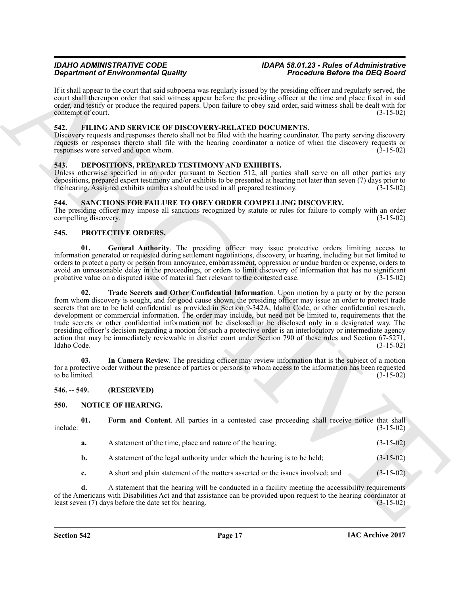## *IDAHO ADMINISTRATIVE CODE IDAPA 58.01.23 - Rules of Administrative*

If it shall appear to the court that said subpoena was regularly issued by the presiding officer and regularly served, the court shall thereupon order that said witness appear before the presiding officer at the time and place fixed in said order, and testify or produce the required papers. Upon failure to obey said order, said witness shall be dealt with for contempt of court. (3-15-02)

## <span id="page-16-7"></span><span id="page-16-0"></span>**542. FILING AND SERVICE OF DISCOVERY-RELATED DOCUMENTS.**

Discovery requests and responses thereto shall not be filed with the hearing coordinator. The party serving discovery requests or responses thereto shall file with the hearing coordinator a notice of when the discovery requests or responses were served and upon whom. (3-15-02) responses were served and upon whom.

## <span id="page-16-6"></span><span id="page-16-1"></span>**543. DEPOSITIONS, PREPARED TESTIMONY AND EXHIBITS.**

Unless otherwise specified in an order pursuant to Section 512, all parties shall serve on all other parties any depositions, prepared expert testimony and/or exhibits to be presented at hearing not later than seven (7) days prior to the hearing. Assigned exhibits numbers should be used in all prepared testimony. (3-15-02) the hearing. Assigned exhibits numbers should be used in all prepared testimony.

## <span id="page-16-14"></span><span id="page-16-2"></span>**544. SANCTIONS FOR FAILURE TO OBEY ORDER COMPELLING DISCOVERY.**

The presiding officer may impose all sanctions recognized by statute or rules for failure to comply with an order compelling discovery. (3-15-02) compelling discovery.

## <span id="page-16-10"></span><span id="page-16-3"></span>**545. PROTECTIVE ORDERS.**

<span id="page-16-13"></span><span id="page-16-11"></span>**01. General Authority**. The presiding officer may issue protective orders limiting access to information generated or requested during settlement negotiations, discovery, or hearing, including but not limited to orders to protect a party or person from annoyance, embarrassment, oppression or undue burden or expense, orders to avoid an unreasonable delay in the proceedings, or orders to limit discovery of information that has no significant probative value on a disputed issue of material fact relevant to the contested case. (3-15-02) probative value on a disputed issue of material fact relevant to the contested case.

**Experiment of Environmental distance and symptom** the procedure distance in the control of the Environmental states and the symptom in the symptom in the symptom in the symptom in the symptom in the symptom in the sympto **02. Trade Secrets and Other Confidential Information**. Upon motion by a party or by the person from whom discovery is sought, and for good cause shown, the presiding officer may issue an order to protect trade secrets that are to be held confidential as provided in Section 9-342A, Idaho Code, or other confidential research, development or commercial information. The order may include, but need not be limited to, requirements that the trade secrets or other confidential information not be disclosed or be disclosed only in a designated way. The presiding officer's decision regarding a motion for such a protective order is an interlocutory or intermediate agency action that may be immediately reviewable in district court under Section 790 of these rules and Section 67-5271, Idaho Code. (3-15-02)

<span id="page-16-12"></span>**03. In Camera Review**. The presiding officer may review information that is the subject of a motion for a protective order without the presence of parties or persons to whom access to the information has been requested to be limited. (3-15-02) to be limited.

## <span id="page-16-4"></span>**546. -- 549. (RESERVED)**

## <span id="page-16-8"></span><span id="page-16-5"></span>**550. NOTICE OF HEARING.**

**01.** Form and Content. All parties in a contested case proceeding shall receive notice that shall  $(3-15-02)$  $include:$  (3-15-02)

<span id="page-16-9"></span>**a.** A statement of the time, place and nature of the hearing; (3-15-02)

**b.** A statement of the legal authority under which the hearing is to be held;  $(3-15-02)$ 

**c.** A short and plain statement of the matters asserted or the issues involved; and (3-15-02)

**d.** A statement that the hearing will be conducted in a facility meeting the accessibility requirements of the Americans with Disabilities Act and that assistance can be provided upon request to the hearing coordinator at least seven (7) days before the date set for hearing. (3-15-02) least seven (7) days before the date set for hearing.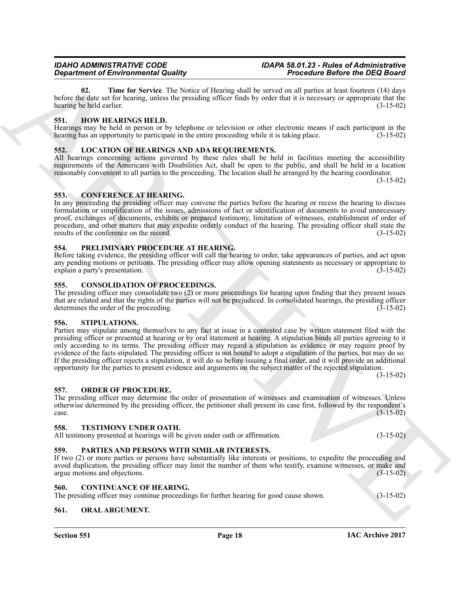## hearing has an opportunity to participate in the entire proceeding while it is taking place.

<span id="page-17-0"></span>**551. HOW HEARINGS HELD.**

*Department of Environmental Quality* 

<span id="page-17-15"></span><span id="page-17-1"></span>**552. LOCATION OF HEARINGS AND ADA REQUIREMENTS.** All hearings concerning actions governed by these rules shall be held in facilities meeting the accessibility requirements of the Americans with Disabilities Act, shall be open to the public, and shall be held in a location reasonably convenient to all parties to the proceeding. The location shall be arranged by the hearing coordinator.

before the date set for hearing, unless the presiding officer finds by order that it is necessary or appropriate that the hearing be held earlier. (3-15-02)

Hearings may be held in person or by telephone or television or other electronic means if each participant in the hearing has an opportunity to participate in the entire proceeding while it is taking place. (3-15-02)

<span id="page-17-16"></span><span id="page-17-14"></span>**02. Time for Service**. The Notice of Hearing shall be served on all parties at least fourteen (14) days

<span id="page-17-11"></span><span id="page-17-2"></span>**553. CONFERENCE AT HEARING.**

In any proceeding the presiding officer may convene the parties before the hearing or recess the hearing to discuss formulation or simplification of the issues, admissions of fact or identification of documents to avoid unnecessary proof, exchanges of documents, exhibits or prepared testimony, limitation of witnesses, establishment of order of procedure, and other matters that may expedite orderly conduct of the hearing. The presiding officer shall state the results of the conference on the record. (3-15-02)

#### <span id="page-17-20"></span><span id="page-17-3"></span>**554. PRELIMINARY PROCEDURE AT HEARING.**

| Before taking evidence, the presiding officer will call the hearing to order, take appearances of parties, and act upon |             |
|-------------------------------------------------------------------------------------------------------------------------|-------------|
| any pending motions or petitions. The presiding officer may allow opening statements as necessary or appropriate to     |             |
| explain a party's presentation.                                                                                         | $(3-15-02)$ |

#### <span id="page-17-12"></span><span id="page-17-4"></span>**555. CONSOLIDATION OF PROCEEDINGS.**

The presiding officer may consolidate two (2) or more proceedings for hearing upon finding that they present issues that are related and that the rights of the parties will not be prejudiced. In consolidated hearings, the presiding officer determines the order of the proceeding. (3-15-02) determines the order of the proceeding.

#### <span id="page-17-21"></span><span id="page-17-5"></span>**556. STIPULATIONS.**

*General de Entreprenental de Mayon Contents de Mayon Contents de La Contents de Contents de La Contents de La Contents de La Contents de La Contents de La Contents de La Contents de La Contents de La Contents de La Cont* Parties may stipulate among themselves to any fact at issue in a contested case by written statement filed with the presiding officer or presented at hearing or by oral statement at hearing. A stipulation binds all parties agreeing to it only according to its terms. The presiding officer may regard a stipulation as evidence or may require proof by evidence of the facts stipulated. The presiding officer is not bound to adopt a stipulation of the parties, but may do so. If the presiding officer rejects a stipulation, it will do so before issuing a final order, and it will provide an additional opportunity for the parties to present evidence and arguments on the subject matter of the rejected stipulation.

(3-15-02)

(3-15-02)

#### <span id="page-17-18"></span><span id="page-17-6"></span>**557. ORDER OF PROCEDURE.**

The presiding officer may determine the order of presentation of witnesses and examination of witnesses. Unless otherwise determined by the presiding officer, the petitioner shall present its case first, followed by the respondent's  $\cos \theta$  (3-15-02)

#### <span id="page-17-22"></span><span id="page-17-7"></span>**558. TESTIMONY UNDER OATH.**

All testimony presented at hearings will be given under oath or affirmation. (3-15-02)

#### <span id="page-17-19"></span><span id="page-17-8"></span>**559. PARTIES AND PERSONS WITH SIMILAR INTERESTS.**

If two (2) or more parties or persons have substantially like interests or positions, to expedite the proceeding and avoid duplication, the presiding officer may limit the number of them who testify, examine witnesses, or make and argue motions and objections. (3-15-02)

#### <span id="page-17-13"></span><span id="page-17-9"></span>**560. CONTINUANCE OF HEARING.**

The presiding officer may continue proceedings for further hearing for good cause shown. (3-15-02)

#### <span id="page-17-17"></span><span id="page-17-10"></span>**561. ORAL ARGUMENT.**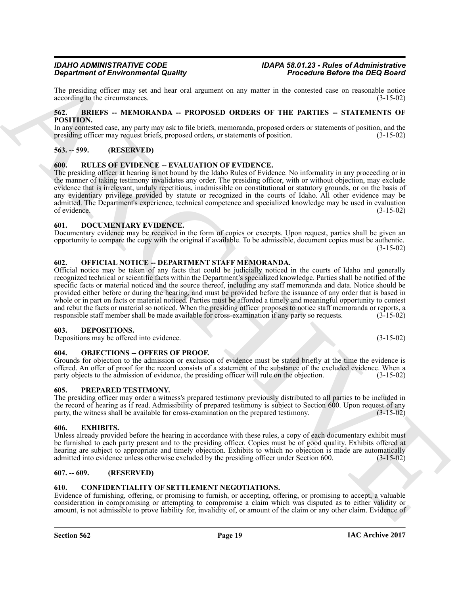The presiding officer may set and hear oral argument on any matter in the contested case on reasonable notice according to the circumstances. (3-15-02) according to the circumstances.

#### <span id="page-18-11"></span><span id="page-18-0"></span>**562. BRIEFS -- MEMORANDA -- PROPOSED ORDERS OF THE PARTIES -- STATEMENTS OF POSITION.**

In any contested case, any party may ask to file briefs, memoranda, proposed orders or statements of position, and the presiding officer may request briefs, proposed orders, or statements of position. (3-15-02) presiding officer may request briefs, proposed orders, or statements of position.

## <span id="page-18-1"></span>**563. -- 599. (RESERVED)**

#### <span id="page-18-19"></span><span id="page-18-2"></span>**600. RULES OF EVIDENCE -- EVALUATION OF EVIDENCE.**

The presiding officer at hearing is not bound by the Idaho Rules of Evidence. No informality in any proceeding or in the manner of taking testimony invalidates any order. The presiding officer, with or without objection, may exclude evidence that is irrelevant, unduly repetitious, inadmissible on constitutional or statutory grounds, or on the basis of any evidentiary privilege provided by statute or recognized in the courts of Idaho. All other evidence may be admitted. The Department's experience, technical competence and specialized knowledge may be used in evaluation of evidence. (3-15-02) of evidence. (3-15-02)

#### <span id="page-18-14"></span><span id="page-18-3"></span>**601. DOCUMENTARY EVIDENCE.**

Documentary evidence may be received in the form of copies or excerpts. Upon request, parties shall be given an opportunity to compare the copy with the original if available. To be admissible, document copies must be authentic. (3-15-02)

#### <span id="page-18-17"></span><span id="page-18-4"></span>**602. OFFICIAL NOTICE -- DEPARTMENT STAFF MEMORANDA.**

**Experiment of Environmental Country of Marchives and Theorem and Science Country (2018)**<br>
Like production since the same state and summation on music and summation of the same state of the DER BOSTIC<br>
SQL BELITES - ARCHI Official notice may be taken of any facts that could be judicially noticed in the courts of Idaho and generally recognized technical or scientific facts within the Department's specialized knowledge. Parties shall be notified of the specific facts or material noticed and the source thereof, including any staff memoranda and data. Notice should be provided either before or during the hearing, and must be provided before the issuance of any order that is based in whole or in part on facts or material noticed. Parties must be afforded a timely and meaningful opportunity to contest and rebut the facts or material so noticed. When the presiding officer proposes to notice staff memoranda or reports, a responsible staff member shall be made available for cross-examination if any party so requests. (3-15-02)

#### <span id="page-18-13"></span><span id="page-18-5"></span>**603. DEPOSITIONS.**

Depositions may be offered into evidence. (3-15-02)

## <span id="page-18-16"></span><span id="page-18-6"></span>**604. OBJECTIONS -- OFFERS OF PROOF.**

#### Grounds for objection to the admission or exclusion of evidence must be stated briefly at the time the evidence is offered. An offer of proof for the record consists of a statement of the substance of the excluded evidence. When a party objects to the admission of evidence, the presiding officer will rule on the objection. (3-15-02) party objects to the admission of evidence, the presiding officer will rule on the objection.

## <span id="page-18-18"></span><span id="page-18-7"></span>**605. PREPARED TESTIMONY.**

The presiding officer may order a witness's prepared testimony previously distributed to all parties to be included in the record of hearing as if read. Admissibility of prepared testimony is subject to Section 600. Upon request of any party, the witness shall be available for cross-examination on the prepared testimony.  $(3-15-02)$ party, the witness shall be available for cross-examination on the prepared testimony.

#### <span id="page-18-15"></span><span id="page-18-8"></span>**606. EXHIBITS.**

Unless already provided before the hearing in accordance with these rules, a copy of each documentary exhibit must be furnished to each party present and to the presiding officer. Copies must be of good quality. Exhibits offered at hearing are subject to appropriate and timely objection. Exhibits to which no objection is made are automatically admitted into evidence unless otherwise excluded by the presiding officer under Section 600. (3-15-02) admitted into evidence unless otherwise excluded by the presiding officer under Section 600.

#### <span id="page-18-9"></span>**607. -- 609. (RESERVED)**

## <span id="page-18-12"></span><span id="page-18-10"></span>**610. CONFIDENTIALITY OF SETTLEMENT NEGOTIATIONS.**

Evidence of furnishing, offering, or promising to furnish, or accepting, offering, or promising to accept, a valuable consideration in compromising or attempting to compromise a claim which was disputed as to either validity or amount, is not admissible to prove liability for, invalidity of, or amount of the claim or any other claim. Evidence of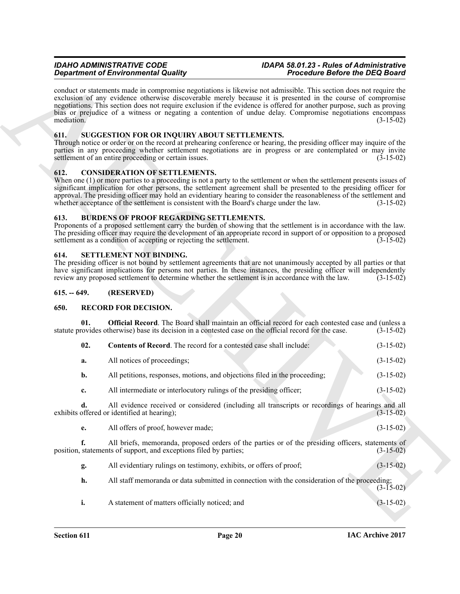## *IDAHO ADMINISTRATIVE CODE IDAPA 58.01.23 - Rules of Administrative*

## <span id="page-19-12"></span><span id="page-19-0"></span>**611. SUGGESTION FOR OR INQUIRY ABOUT SETTLEMENTS.**

## <span id="page-19-7"></span><span id="page-19-1"></span>**612. CONSIDERATION OF SETTLEMENTS.**

## <span id="page-19-6"></span><span id="page-19-2"></span>**613. BURDENS OF PROOF REGARDING SETTLEMENTS.**

## <span id="page-19-11"></span><span id="page-19-3"></span>**614. SETTLEMENT NOT BINDING.**

#### <span id="page-19-4"></span>**615. -- 649. (RESERVED)**

## <span id="page-19-10"></span><span id="page-19-9"></span><span id="page-19-8"></span><span id="page-19-5"></span>**650. RECORD FOR DECISION.**

|               | <b>Department of Environmental Quality</b>                                                                                                                                                                                                                                                                                                                                                                                                                                                                    | <b>Procedure Before the DEQ Board</b>                                                                      |             |  |
|---------------|---------------------------------------------------------------------------------------------------------------------------------------------------------------------------------------------------------------------------------------------------------------------------------------------------------------------------------------------------------------------------------------------------------------------------------------------------------------------------------------------------------------|------------------------------------------------------------------------------------------------------------|-------------|--|
| mediation.    | conduct or statements made in compromise negotiations is likewise not admissible. This section does not require the<br>exclusion of any evidence otherwise discoverable merely because it is presented in the course of compromise<br>negotiations. This section does not require exclusion if the evidence is offered for another purpose, such as proving<br>bias or prejudice of a witness or negating a contention of undue delay. Compromise negotiations encompass                                      |                                                                                                            | $(3-15-02)$ |  |
| 611.          | SUGGESTION FOR OR INQUIRY ABOUT SETTLEMENTS.<br>Through notice or order or on the record at prehearing conference or hearing, the presiding officer may inquire of the<br>parties in any proceeding whether settlement negotiations are in progress or are contemplated or may invite<br>settlement of an entire proceeding or certain issues.                                                                                                                                                                |                                                                                                            | $(3-15-02)$ |  |
| 612.          | <b>CONSIDERATION OF SETTLEMENTS.</b><br>When one $(1)$ or more parties to a proceeding is not a party to the settlement or when the settlement presents issues of<br>significant implication for other persons, the settlement agreement shall be presented to the presiding officer for<br>approval. The presiding officer may hold an evidentiary hearing to consider the reasonableness of the settlement and<br>whether acceptance of the settlement is consistent with the Board's charge under the law. |                                                                                                            | $(3-15-02)$ |  |
| 613.          | <b>BURDENS OF PROOF REGARDING SETTLEMENTS.</b><br>Proponents of a proposed settlement carry the burden of showing that the settlement is in accordance with the law.<br>The presiding officer may require the development of an appropriate record in support of or opposition to a proposed<br>settlement as a condition of accepting or rejecting the settlement.                                                                                                                                           |                                                                                                            | $(3-15-02)$ |  |
| 614.          | SETTLEMENT NOT BINDING.<br>The presiding officer is not bound by settlement agreements that are not unanimously accepted by all parties or that<br>have significant implications for persons not parties. In these instances, the presiding officer will independently<br>review any proposed settlement to determine whether the settlement is in accordance with the law.                                                                                                                                   |                                                                                                            | $(3-15-02)$ |  |
| $615. - 649.$ | (RESERVED)                                                                                                                                                                                                                                                                                                                                                                                                                                                                                                    |                                                                                                            |             |  |
| 650.          | <b>RECORD FOR DECISION.</b>                                                                                                                                                                                                                                                                                                                                                                                                                                                                                   |                                                                                                            |             |  |
| 01.           | statute provides otherwise) base its decision in a contested case on the official record for the case.                                                                                                                                                                                                                                                                                                                                                                                                        | <b>Official Record</b> . The Board shall maintain an official record for each contested case and (unless a | $(3-15-02)$ |  |
| 02.           | Contents of Record. The record for a contested case shall include:                                                                                                                                                                                                                                                                                                                                                                                                                                            |                                                                                                            | $(3-15-02)$ |  |
| a.            | All notices of proceedings;                                                                                                                                                                                                                                                                                                                                                                                                                                                                                   |                                                                                                            | $(3-15-02)$ |  |
| b.            | All petitions, responses, motions, and objections filed in the proceeding;                                                                                                                                                                                                                                                                                                                                                                                                                                    |                                                                                                            | $(3-15-02)$ |  |
| c.            | All intermediate or interlocutory rulings of the presiding officer;                                                                                                                                                                                                                                                                                                                                                                                                                                           |                                                                                                            | $(3-15-02)$ |  |
|               | exhibits offered or identified at hearing);                                                                                                                                                                                                                                                                                                                                                                                                                                                                   | All evidence received or considered (including all transcripts or recordings of hearings and all           | $(3-15-02)$ |  |
| e.            | All offers of proof, however made;                                                                                                                                                                                                                                                                                                                                                                                                                                                                            |                                                                                                            | $(3-15-02)$ |  |
|               |                                                                                                                                                                                                                                                                                                                                                                                                                                                                                                               | All briefs, memoranda, proposed orders of the parties or of the presiding officers, statements of          | $(3-15-02)$ |  |
| f.            | position, statements of support, and exceptions filed by parties;                                                                                                                                                                                                                                                                                                                                                                                                                                             |                                                                                                            |             |  |
| g.            | All evidentiary rulings on testimony, exhibits, or offers of proof;                                                                                                                                                                                                                                                                                                                                                                                                                                           |                                                                                                            | $(3-15-02)$ |  |
| h.            |                                                                                                                                                                                                                                                                                                                                                                                                                                                                                                               | All staff memoranda or data submitted in connection with the consideration of the proceeding;              | $(3-15-02)$ |  |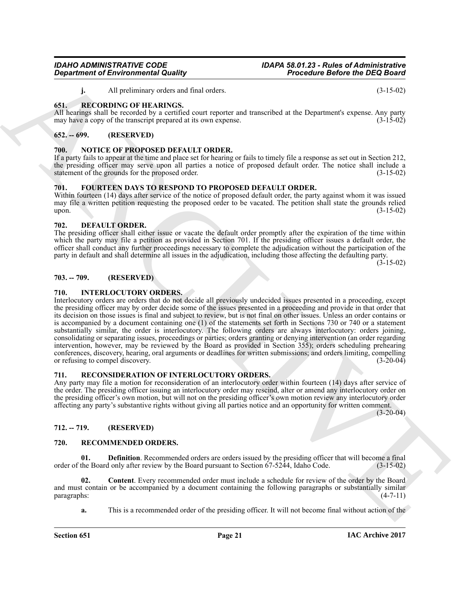<span id="page-20-17"></span>**j.** All preliminary orders and final orders. (3-15-02)

#### <span id="page-20-0"></span>**651. RECORDING OF HEARINGS.**

All hearings shall be recorded by a certified court reporter and transcribed at the Department's expense. Any party may have a copy of the transcript prepared at its own expense. (3-15-02)

## <span id="page-20-1"></span>**652. -- 699. (RESERVED)**

#### <span id="page-20-12"></span><span id="page-20-2"></span>**700. NOTICE OF PROPOSED DEFAULT ORDER.**

If a party fails to appear at the time and place set for hearing or fails to timely file a response as set out in Section 212, the presiding officer may serve upon all parties a notice of proposed default order. The notice shall include a statement of the grounds for the proposed order. (3-15-02) statement of the grounds for the proposed order.

#### <span id="page-20-18"></span><span id="page-20-3"></span>**701. FOURTEEN DAYS TO RESPOND TO PROPOSED DEFAULT ORDER.**

Within fourteen (14) days after service of the notice of proposed default order, the party against whom it was issued may file a written petition requesting the proposed order to be vacated. The petition shall state the grounds relied<br>(3-15-02) upon. (3-15-02)

#### <span id="page-20-10"></span><span id="page-20-4"></span>**702. DEFAULT ORDER.**

The presiding officer shall either issue or vacate the default order promptly after the expiration of the time within which the party may file a petition as provided in Section 701. If the presiding officer issues a default order, the officer shall conduct any further proceedings necessary to complete the adjudication without the participation of the party in default and shall determine all issues in the adjudication, including those affecting the defaulting party.

(3-15-02)

## <span id="page-20-5"></span>**703. -- 709. (RESERVED)**

#### <span id="page-20-11"></span><span id="page-20-6"></span>**710. INTERLOCUTORY ORDERS.**

**Considered of Environmental Quality and Constraint Considered in the Dependent Constraint Constraint Constraint Constraint Constraint Constraint Constraint Constraint Constraint Constraint Constraint Constraint Constrain** Interlocutory orders are orders that do not decide all previously undecided issues presented in a proceeding, except the presiding officer may by order decide some of the issues presented in a proceeding and provide in that order that its decision on those issues is final and subject to review, but is not final on other issues. Unless an order contains or is accompanied by a document containing one (1) of the statements set forth in Sections 730 or 740 or a statement substantially similar, the order is interlocutory. The following orders are always interlocutory: orders joining, consolidating or separating issues, proceedings or parties; orders granting or denying intervention (an order regarding intervention, however, may be reviewed by the Board as provided in Section 355); orders scheduling prehearing conferences, discovery, hearing, oral arguments or deadlines for written submissions; and orders limiting, compelling or refusing to compel discovery.

#### <span id="page-20-16"></span><span id="page-20-7"></span>**711. RECONSIDERATION OF INTERLOCUTORY ORDERS.**

Any party may file a motion for reconsideration of an interlocutory order within fourteen (14) days after service of the order. The presiding officer issuing an interlocutory order may rescind, alter or amend any interlocutory order on the presiding officer's own motion, but will not on the presiding officer's own motion review any interlocutory order affecting any party's substantive rights without giving all parties notice and an opportunity for written comment.

(3-20-04)

## <span id="page-20-8"></span>**712. -- 719. (RESERVED)**

#### <span id="page-20-13"></span><span id="page-20-9"></span>**720. RECOMMENDED ORDERS.**

<span id="page-20-15"></span>**Definition**. Recommended orders are orders issued by the presiding officer that will become a final donly after review by the Board pursuant to Section 67-5244. Idaho Code. (3-15-02) order of the Board only after review by the Board pursuant to Section  $67-5244$ , Idaho Code.

**02. Content**. Every recommended order must include a schedule for review of the order by the Board and must contain or be accompanied by a document containing the following paragraphs or substantially similar paragraphs: (4-7-11) paragraphs: (4-7-11)

<span id="page-20-14"></span>**a.** This is a recommended order of the presiding officer. It will not become final without action of the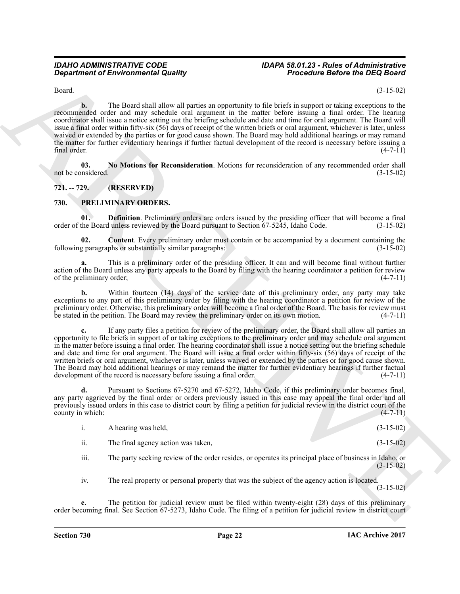## *IDAHO ADMINISTRATIVE CODE IDAPA 58.01.23 - Rules of Administrative*

Board. (3-15-02)

**Expariment of Environmental Quality<br>
The React duality of the State of the State of the State Scheme of the State Scheme of the State Scheme of the State Scheme of the State Scheme of the State Scheme of the State Scheme b.** The Board shall allow all parties an opportunity to file briefs in support or taking exceptions to the recommended order and may schedule oral argument in the matter before issuing a final order. The hearing coordinator shall issue a notice setting out the briefing schedule and date and time for oral argument. The Board will issue a final order within fifty-six (56) days of receipt of the written briefs or oral argument, whichever is later, unless waived or extended by the parties or for good cause shown. The Board may hold additional hearings or may remand the matter for further evidentiary hearings if further factual development of the record is necessary before issuing a final order. (4-7-11)  $final order.$  (4-7-11)

<span id="page-21-5"></span>**03.** No Motions for Reconsideration. Motions for reconsideration of any recommended order shall nsidered. (3-15-02) not be considered.

<span id="page-21-0"></span>**721. -- 729. (RESERVED)**

## <span id="page-21-2"></span><span id="page-21-1"></span>**730. PRELIMINARY ORDERS.**

<span id="page-21-4"></span>**01. Definition**. Preliminary orders are orders issued by the presiding officer that will become a final order of the Board unless reviewed by the Board pursuant to Section 67-5245, Idaho Code. (3-15-02)

<span id="page-21-3"></span>**02. Content**. Every preliminary order must contain or be accompanied by a document containing the g paragraphs or substantially similar paragraphs: (3-15-02) following paragraphs or substantially similar paragraphs:

**a.** This is a preliminary order of the presiding officer. It can and will become final without further action of the Board unless any party appeals to the Board by filing with the hearing coordinator a petition for review<br>of the preliminary order: (4-7-11) of the preliminary order;

**b.** Within fourteen (14) days of the service date of this preliminary order, any party may take exceptions to any part of this preliminary order by filing with the hearing coordinator a petition for review of the preliminary order. Otherwise, this preliminary order will become a final order of the Board. The basis for review must<br>be stated in the petition. The Board may review the preliminary order on its own motion. (4-7-11) be stated in the petition. The Board may review the preliminary order on its own motion.

**c.** If any party files a petition for review of the preliminary order, the Board shall allow all parties an opportunity to file briefs in support of or taking exceptions to the preliminary order and may schedule oral argument in the matter before issuing a final order. The hearing coordinator shall issue a notice setting out the briefing schedule and date and time for oral argument. The Board will issue a final order within fifty-six (56) days of receipt of the written briefs or oral argument, whichever is later, unless waived or extended by the parties or for good cause shown. The Board may hold additional hearings or may remand the matter for further evidentiary hearings if further factual development of the record is necessary before issuing a final order. (4-7-11)

**d.** Pursuant to Sections 67-5270 and 67-5272, Idaho Code, if this preliminary order becomes final, any party aggrieved by the final order or orders previously issued in this case may appeal the final order and all previously issued orders in this case to district court by filing a petition for judicial review in the district court of the county in which: (4-7-11) county in which:

|               | A hearing was held,                | $(3-15-02)$ |
|---------------|------------------------------------|-------------|
| $\cdot \cdot$ | The final agency action was taken, | $(3-15-02)$ |

iii. The party seeking review of the order resides, or operates its principal place of business in Idaho, or (3-15-02)

iv. The real property or personal property that was the subject of the agency action is located.

(3-15-02)

**e.** The petition for judicial review must be filed within twenty-eight (28) days of this preliminary order becoming final. See Section 67-5273, Idaho Code. The filing of a petition for judicial review in district court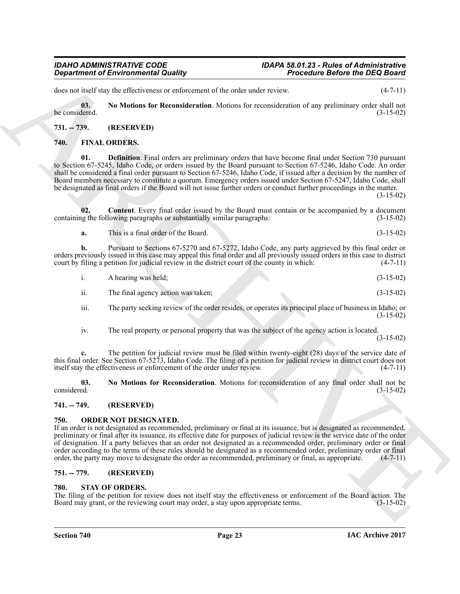does not itself stay the effectiveness or enforcement of the order under review. (4-7-11)

<span id="page-22-11"></span>**03.** No Motions for Reconsideration. Motions for reconsideration of any preliminary order shall not be considered. (3-15-02) be considered.  $(3-15-02)$ 

## <span id="page-22-0"></span>**731. -- 739. (RESERVED)**

## <span id="page-22-8"></span><span id="page-22-6"></span><span id="page-22-1"></span>**740. FINAL ORDERS.**

**Equation of Environmental Quality<br>
Secretaris Resolution of the volume of the volume of the volume of the content of the Resolution of the Resolution of the Secretaristics of the Secretaristics of the Secretaristics Reso 01. Definition**. Final orders are preliminary orders that have become final under Section 730 pursuant to Section 67-5245, Idaho Code, or orders issued by the Board pursuant to Section 67-5246, Idaho Code. An order shall be considered a final order pursuant to Section 67-5246, Idaho Code, if issued after a decision by the number of Board members necessary to constitute a quorum. Emergency orders issued under Section 67-5247, Idaho Code, shall be designated as final orders if the Board will not issue further orders or conduct further proceedings in the matter. (3-15-02)

**02. Content**. Every final order issued by the Board must contain or be accompanied by a document of the following paragraphs or substantially similar paragraphs: (3-15-02) containing the following paragraphs or substantially similar paragraphs:

<span id="page-22-7"></span>**a.** This is a final order of the Board. (3-15-02)

**b.** Pursuant to Sections 67-5270 and 67-5272, Idaho Code, any party aggrieved by this final order or orders previously issued in this case may appeal this final order and all previously issued orders in this case to district court by filing a petition for judicial review in the district court of the county in which: (4-7-11)

| A hearing was held; | $(3-15-02)$ |
|---------------------|-------------|
|                     |             |

- ii. The final agency action was taken; (3-15-02)
- iii. The party seeking review of the order resides, or operates its principal place of business in Idaho; or (3-15-02)

<span id="page-22-9"></span>iv. The real property or personal property that was the subject of the agency action is located.

(3-15-02)

**c.** The petition for judicial review must be filed within twenty-eight (28) days of the service date of this final order. See Section 67-5273, Idaho Code. The filing of a petition for judicial review in district court does not itself stay the effectiveness or enforcement of the order under review. (4-7-11) itself stay the effectiveness or enforcement of the order under review.

**03.** No Motions for Reconsideration. Motions for reconsideration of any final order shall not be considered. (3-15-02) considered. (3-15-02)

## <span id="page-22-2"></span>**741. -- 749. (RESERVED)**

## <span id="page-22-10"></span><span id="page-22-3"></span>**750. ORDER NOT DESIGNATED.**

If an order is not designated as recommended, preliminary or final at its issuance, but is designated as recommended, preliminary or final after its issuance, its effective date for purposes of judicial review is the service date of the order of designation. If a party believes that an order not designated as a recommended order, preliminary order or final order according to the terms of these rules should be designated as a recommended order, preliminary order or final order, the party may move to designate the order as recommended, preliminary or final, as appropriate. (4order, the party may move to designate the order as recommended, preliminary or final, as appropriate.

## <span id="page-22-4"></span>**751. -- 779. (RESERVED)**

## <span id="page-22-12"></span><span id="page-22-5"></span>**780. STAY OF ORDERS.**

The filing of the petition for review does not itself stay the effectiveness or enforcement of the Board action. The Board may grant, or the reviewing court may order, a stay upon appropriate terms. (3-15-02) Board may grant, or the reviewing court may order, a stay upon appropriate terms.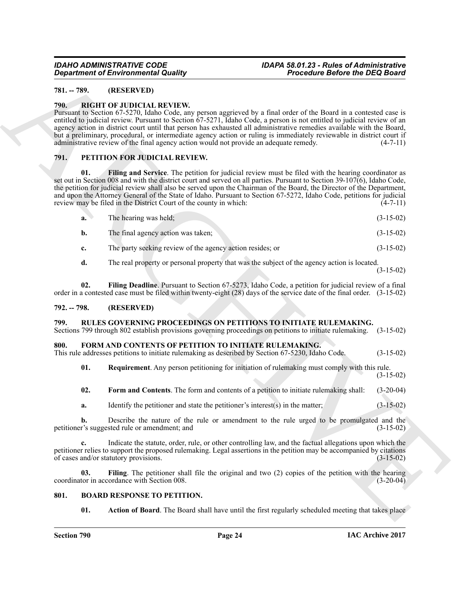## <span id="page-23-16"></span><span id="page-23-0"></span>**781. -- 789. (RESERVED)**

#### <span id="page-23-1"></span>**790. RIGHT OF JUDICIAL REVIEW.**

Pursuant to Section 67-5270, Idaho Code, any person aggrieved by a final order of the Board in a contested case is entitled to judicial review. Pursuant to Section 67-5271, Idaho Code, a person is not entitled to judicial review of an agency action in district court until that person has exhausted all administrative remedies available with the Board, but a preliminary, procedural, or intermediate agency action or ruling is immediately reviewable in district court if administrative review of the final agency action would not provide an adequate remedy. (4-7-11)

#### <span id="page-23-14"></span><span id="page-23-13"></span><span id="page-23-2"></span>**791. PETITION FOR JUDICIAL REVIEW.**

**Experiment of Environmental Quality<br>
TH. 2001. IN the SUN UNIVERSE CONTINUES CONTINUES (Section 2001) 2014.**<br>
The SUN UNIVERSE PARCHAIN CONTINUES CONTINUES CONTINUES CONTINUES (Section 2014)<br>
2014 - EXPERIMENTAL CONTINUE **01. Filing and Service**. The petition for judicial review must be filed with the hearing coordinator as set out in Section 008 and with the district court and served on all parties. Pursuant to Section 39-107(6), Idaho Code, the petition for judicial review shall also be served upon the Chairman of the Board, the Director of the Department, and upon the Attorney General of the State of Idaho. Pursuant to Section 67-5272, Idaho Code, petitions for judicial review may be filed in the District Court of the county in which: (4-7-11) review may be filed in the District Court of the county in which:

| a. | The hearing was held;              | $(3-15-02)$ |
|----|------------------------------------|-------------|
|    | The final agency action was taken; | $(3-15-02)$ |

- **c.** The party seeking review of the agency action resides; or (3-15-02)
- <span id="page-23-15"></span>**d.** The real property or personal property that was the subject of the agency action is located.

(3-15-02)

**02. Filing Deadline**. Pursuant to Section 67-5273, Idaho Code, a petition for judicial review of a final order in a contested case must be filed within twenty-eight (28) days of the service date of the final order. (3-15-02)

#### <span id="page-23-3"></span>**792. -- 798. (RESERVED)**

#### <span id="page-23-17"></span><span id="page-23-4"></span>**799. RULES GOVERNING PROCEEDINGS ON PETITIONS TO INITIATE RULEMAKING.**

Sections 799 through 802 establish provisions governing proceedings on petitions to initiate rulemaking. (3-15-02)

## <span id="page-23-9"></span><span id="page-23-5"></span>**800. FORM AND CONTENTS OF PETITION TO INITIATE RULEMAKING.**

This rule addresses petitions to initiate rulemaking as described by Section 67-5230, Idaho Code. (3-15-02)

<span id="page-23-12"></span>**01.** Requirement. Any person petitioning for initiation of rulemaking must comply with this rule.

(3-15-02)

- <span id="page-23-11"></span>**02. Form and Contents**. The form and contents of a petition to initiate rulemaking shall: (3-20-04)
- **a.** Identify the petitioner and state the petitioner's interest(s) in the matter; (3-15-02)

**b.** Describe the nature of the rule or amendment to the rule urged to be promulgated and the r's suggested rule or amendment; and (3-15-02) petitioner's suggested rule or amendment; and

**c.** Indicate the statute, order, rule, or other controlling law, and the factual allegations upon which the petitioner relies to support the proposed rulemaking. Legal assertions in the petition may be accompanied by citations of cases and/or statutory provisions. (3-15-02) of cases and/or statutory provisions.

**03.** Filing. The petitioner shall file the original and two (2) copies of the petition with the hearing tor in accordance with Section 008. (3-20-04) coordinator in accordance with Section 008.

#### <span id="page-23-6"></span>**801. BOARD RESPONSE TO PETITION.**

<span id="page-23-10"></span><span id="page-23-8"></span><span id="page-23-7"></span>**01.** Action of Board. The Board shall have until the first regularly scheduled meeting that takes place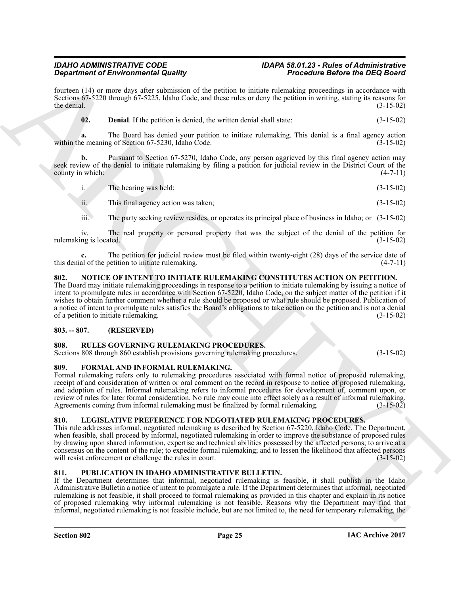## *IDAHO ADMINISTRATIVE CODE IDAPA 58.01.23 - Rules of Administrative*

fourteen (14) or more days after submission of the petition to initiate rulemaking proceedings in accordance with Sections 67-5220 through 67-5225, Idaho Code, and these rules or deny the petition in writing, stating its reasons for the denial. (3-15-02) the denial.  $(3-15-02)$ 

<span id="page-24-6"></span>**02. Denial**. If the petition is denied, the written denial shall state:  $(3-15-02)$ 

**a.** The Board has denied your petition to initiate rulemaking. This denial is a final agency action within the meaning of Section 67-5230, Idaho Code.  $(3-15-02)$ 

**b.** Pursuant to Section 67-5270, Idaho Code, any person aggrieved by this final agency action may seek review of the denial to initiate rulemaking by filing a petition for judicial review in the District Court of the county in which: (4-7-11) county in which:

| The hearing was held; | $(3-15-02)$ |
|-----------------------|-------------|
|                       |             |

ii. This final agency action was taken; (3-15-02)

iii. The party seeking review resides, or operates its principal place of business in Idaho; or (3-15-02)

iv. The real property or personal property that was the subject of the denial of the petition for ng is located. (3-15-02) rulemaking is located.

**c.** The petition for judicial review must be filed within twenty-eight (28) days of the service date of al of the petition to initiate rulemaking. (4-7-11) this denial of the petition to initiate rulemaking.

## <span id="page-24-9"></span><span id="page-24-0"></span>**802. NOTICE OF INTENT TO INITIATE RULEMAKING CONSTITUTES ACTION ON PETITION.**

The Board may initiate rulemaking proceedings in response to a petition to initiate rulemaking by issuing a notice of intent to promulgate rules in accordance with Section 67-5220, Idaho Code, on the subject matter of the petition if it wishes to obtain further comment whether a rule should be proposed or what rule should be proposed. Publication of a notice of intent to promulgate rules satisfies the Board's obligations to take action on the petition and is not a denial of a petition to initiate rulemaking. (3-15-02)

## <span id="page-24-1"></span>**803. -- 807. (RESERVED)**

## <span id="page-24-11"></span><span id="page-24-2"></span>**808. RULES GOVERNING RULEMAKING PROCEDURES.**

Sections 808 through 860 establish provisions governing rulemaking procedures. (3-15-02)

## <span id="page-24-7"></span><span id="page-24-3"></span>**809. FORMAL AND INFORMAL RULEMAKING.**

Formal rulemaking refers only to rulemaking procedures associated with formal notice of proposed rulemaking, receipt of and consideration of written or oral comment on the record in response to notice of proposed rulemaking, and adoption of rules. Informal rulemaking refers to informal procedures for development of, comment upon, or review of rules for later formal consideration. No rule may come into effect solely as a result of informal rulemaking. Agreements coming from informal rulemaking must be finalized by formal rulemaking. (3-15-02)

## <span id="page-24-8"></span><span id="page-24-4"></span>**810. LEGISLATIVE PREFERENCE FOR NEGOTIATED RULEMAKING PROCEDURES.**

**Stationer of Environmental Quality**<br> **Container the station of the political symphony in the color of the political symphony and the station of the station of the station of the station of the station of the station of t** This rule addresses informal, negotiated rulemaking as described by Section 67-5220, Idaho Code. The Department, when feasible, shall proceed by informal, negotiated rulemaking in order to improve the substance of proposed rules by drawing upon shared information, expertise and technical abilities possessed by the affected persons; to arrive at a consensus on the content of the rule; to expedite formal rulemaking; and to lessen the likelihood that affected persons will resist enforcement or challenge the rules in court. will resist enforcement or challenge the rules in court.

## <span id="page-24-10"></span><span id="page-24-5"></span>**811. PUBLICATION IN IDAHO ADMINISTRATIVE BULLETIN.**

If the Department determines that informal, negotiated rulemaking is feasible, it shall publish in the Idaho Administrative Bulletin a notice of intent to promulgate a rule. If the Department determines that informal, negotiated rulemaking is not feasible, it shall proceed to formal rulemaking as provided in this chapter and explain in its notice of proposed rulemaking why informal rulemaking is not feasible. Reasons why the Department may find that informal, negotiated rulemaking is not feasible include, but are not limited to, the need for temporary rulemaking, the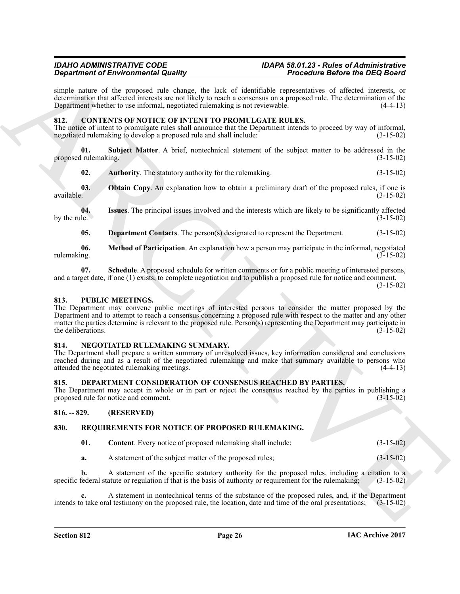## *IDAHO ADMINISTRATIVE CODE IDAPA 58.01.23 - Rules of Administrative*

simple nature of the proposed rule change, the lack of identifiable representatives of affected interests, or determination that affected interests are not likely to reach a consensus on a proposed rule. The determination of the Department whether to use informal, negotiated rulemaking is not reviewable. (4-4-13) Department whether to use informal, negotiated rulemaking is not reviewable.

#### <span id="page-25-6"></span><span id="page-25-0"></span>**812. CONTENTS OF NOTICE OF INTENT TO PROMULGATE RULES.**

The notice of intent to promulgate rules shall announce that the Department intends to proceed by way of informal, negotiated rulemaking to develop a proposed rule and shall include:  $(3-15-02)$ negotiated rulemaking to develop a proposed rule and shall include:

**01. Subject Matter**. A brief, nontechnical statement of the subject matter to be addressed in the proposed rulemaking. (3-15-02)

<span id="page-25-13"></span><span id="page-25-11"></span><span id="page-25-7"></span>**02.** Authority. The statutory authority for the rulemaking. (3-15-02)

**03. Obtain Copy**. An explanation how to obtain a preliminary draft of the proposed rules, if one is available. (3-15-02)  $a$ vailable.  $(3-15-02)$ 

**04.** Issues. The principal issues involved and the interests which are likely to be significantly affected by the rule.  $(3-15-02)$ by the rule.  $(3-15-02)$ 

<span id="page-25-12"></span><span id="page-25-10"></span><span id="page-25-9"></span><span id="page-25-8"></span>**05. Department Contacts**. The person(s) designated to represent the Department. (3-15-02)

**06.** Method of Participation. An explanation how a person may participate in the informal, negotiated rulemaking.  $(3-15-02)$ rulemaking. (3-15-02)

**07. Schedule**. A proposed schedule for written comments or for a public meeting of interested persons, and a target date, if one (1) exists, to complete negotiation and to publish a proposed rule for notice and comment.

(3-15-02)

#### <span id="page-25-16"></span><span id="page-25-1"></span>**813. PUBLIC MEETINGS.**

**Stationary of Entropological Stationary, the last of distribution (FreeDock in Section 2018)**<br> **ARCHIVE CONSULTER STATION CONSULTER CONSULTER STATION (SECTION 2018)**<br> **ARCHIVE CONSULTER STATION CONSULTER STATION CONSULTE** The Department may convene public meetings of interested persons to consider the matter proposed by the Department and to attempt to reach a consensus concerning a proposed rule with respect to the matter and any other matter the parties determine is relevant to the proposed rule. Person(s) representing the Department may participate in the deliberations. (3-15-02) the deliberations.

#### <span id="page-25-15"></span><span id="page-25-2"></span>**814. NEGOTIATED RULEMAKING SUMMARY.**

The Department shall prepare a written summary of unresolved issues, key information considered and conclusions reached during and as a result of the negotiated rulemaking and make that summary available to persons who attended the negotiated rulemaking meetings. (4-4-13) attended the negotiated rulemaking meetings.

#### <span id="page-25-14"></span><span id="page-25-3"></span>**815. DEPARTMENT CONSIDERATION OF CONSENSUS REACHED BY PARTIES.**

The Department may accept in whole or in part or reject the consensus reached by the parties in publishing a proposed rule for notice and comment. (3-15-02) proposed rule for notice and comment.

## <span id="page-25-4"></span>**816. -- 829. (RESERVED)**

#### <span id="page-25-5"></span>**830. REQUIREMENTS FOR NOTICE OF PROPOSED RULEMAKING.**

<span id="page-25-18"></span><span id="page-25-17"></span>

| 01. | <b>Content</b> . Every notice of proposed rulemaking shall include: | $(3-15-02)$ |
|-----|---------------------------------------------------------------------|-------------|
|-----|---------------------------------------------------------------------|-------------|

**a.** A statement of the subject matter of the proposed rules; (3-15-02)

**b.** A statement of the specific statutory authority for the proposed rules, including a citation to a federal statute or regulation if that is the basis of authority or requirement for the rulemaking: (3-15-02) specific federal statute or regulation if that is the basis of authority or requirement for the rulemaking;

**c.** A statement in nontechnical terms of the substance of the proposed rules, and, if the Department to take oral testimony on the proposed rule, the location, date and time of the oral presentations; (3-15-02) intends to take oral testimony on the proposed rule, the location, date and time of the oral presentations;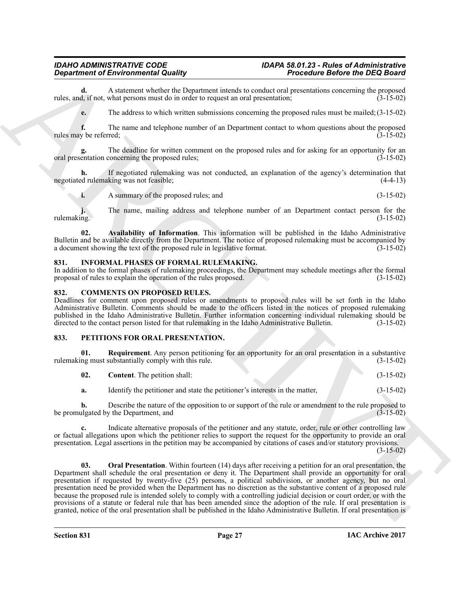## *IDAHO ADMINISTRATIVE CODE IDAPA 58.01.23 - Rules of Administrative Department of Environmental Quality*

**d.** A statement whether the Department intends to conduct oral presentations concerning the proposed d. if not, what persons must do in order to request an oral presentation: (3-15-02) rules, and, if not, what persons must do in order to request an oral presentation;

**e.** The address to which written submissions concerning the proposed rules must be mailed; (3-15-02)

**f.** The name and telephone number of an Department contact to whom questions about the proposed y be referred: (3-15-02) rules may be referred;

**g.** The deadline for written comment on the proposed rules and for asking for an opportunity for an oral presentation concerning the proposed rules; (3-15-02)

**h.** If negotiated rulemaking was not conducted, an explanation of the agency's determination that detrimation was not feasible: (4-4-13) negotiated rulemaking was not feasible;

<span id="page-26-9"></span>**i.** A summary of the proposed rules; and (3-15-02)

**j.** The name, mailing address and telephone number of an Department contact person for the rulemaking. (3-15-02) rulemaking. (3-15-02)

**02. Availability of Information**. This information will be published in the Idaho Administrative Bulletin and be available directly from the Department. The notice of proposed rulemaking must be accompanied by a document showing the text of the proposed rule in legislative format. (3-15-02) a document showing the text of the proposed rule in legislative format.

#### <span id="page-26-4"></span><span id="page-26-0"></span>**831. INFORMAL PHASES OF FORMAL RULEMAKING.**

In addition to the formal phases of rulemaking proceedings, the Department may schedule meetings after the formal proposal of rules to explain the operation of the rules proposed. (3-15-02) proposal of rules to explain the operation of the rules proposed.

#### <span id="page-26-3"></span><span id="page-26-1"></span>**832. COMMENTS ON PROPOSED RULES.**

Deadlines for comment upon proposed rules or amendments to proposed rules will be set forth in the Idaho Administrative Bulletin. Comments should be made to the officers listed in the notices of proposed rulemaking published in the Idaho Administrative Bulletin. Further information concerning individual rulemaking should be directed to the contact person listed for that rulemaking in the Idaho Administrative Bulletin. (3-15-02) directed to the contact person listed for that rulemaking in the Idaho Administrative Bulletin.

## <span id="page-26-5"></span><span id="page-26-2"></span>**833. PETITIONS FOR ORAL PRESENTATION.**

**01. Requirement**. Any person petitioning for an opportunity for an oral presentation in a substantive ng must substantially comply with this rule. (3-15-02) rulemaking must substantially comply with this rule.

<span id="page-26-8"></span><span id="page-26-6"></span>

| 02. | <b>Content.</b> The petition shall:                                         | $(3-15-02)$ |
|-----|-----------------------------------------------------------------------------|-------------|
|     | Identify the petitioner and state the petitioner's interests in the matter, | $(3-15-02)$ |

**b.** Describe the nature of the opposition to or support of the rule or amendment to the rule proposed to ulgated by the Department, and (3-15-02) be promulgated by the Department, and

<span id="page-26-7"></span>**c.** Indicate alternative proposals of the petitioner and any statute, order, rule or other controlling law or factual allegations upon which the petitioner relies to support the request for the opportunity to provide an oral presentation. Legal assertions in the petition may be accompanied by citations of cases and/or statutory provisions.  $(3-15-02)$ 

Generation of Environmental Gastley in the content intention in respective to the DEG Board<br>
And  $\mathbf{u}_k = \mathbf{u}_k$  the proposed of the content intention in the system of the proposed and solid and solid and solid and soli **03. Oral Presentation**. Within fourteen (14) days after receiving a petition for an oral presentation, the Department shall schedule the oral presentation or deny it. The Department shall provide an opportunity for oral presentation if requested by twenty-five (25) persons, a political subdivision, or another agency, but no oral presentation need be provided when the Department has no discretion as the substantive content of a proposed rule because the proposed rule is intended solely to comply with a controlling judicial decision or court order, or with the provisions of a statute or federal rule that has been amended since the adoption of the rule. If oral presentation is granted, notice of the oral presentation shall be published in the Idaho Administrative Bulletin. If oral presentation is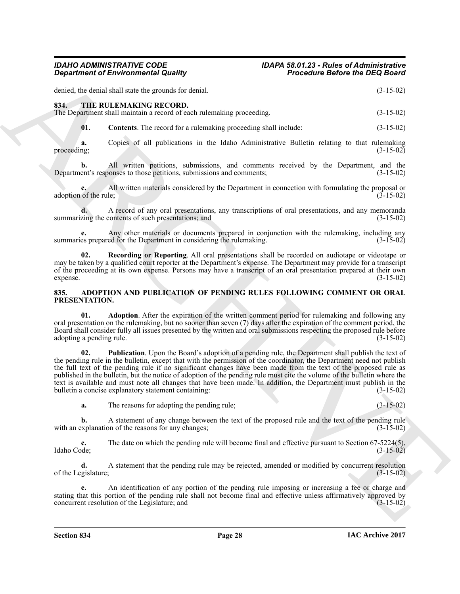## *IDAHO ADMINISTRATIVE CODE IDAPA 58.01.23 - Rules of Administrative*

denied, the denial shall state the grounds for denial. (3-15-02)

#### <span id="page-27-5"></span><span id="page-27-0"></span>**834. THE RULEMAKING RECORD.** The Department shall maintain a record of each rulemaking proceeding. (3-15-02)

<span id="page-27-6"></span>**01. Contents**. The record for a rulemaking proceeding shall include: (3-15-02)

**a.** Copies of all publications in the Idaho Administrative Bulletin relating to that rulemaking (3-15-02) proceeding;  $(3-15-02)$ 

**b.** All written petitions, submissions, and comments received by the Department, and the ent's responses to those petitions, submissions and comments; (3-15-02) Department's responses to those petitions, submissions and comments;

**c.** All written materials considered by the Department in connection with formulating the proposal or adoption of the rule; (3-15-02) (3-15-02)

**d.** A record of any oral presentations, any transcriptions of oral presentations, and any memoranda zing the contents of such presentations; and  $(3-15-02)$ summarizing the contents of such presentations; and

Any other materials or documents prepared in conjunction with the rulemaking, including any ed for the Department in considering the rulemaking. (3-15-02) summaries prepared for the Department in considering the rulemaking.

<span id="page-27-7"></span>**02. Recording or Reporting**. All oral presentations shall be recorded on audiotape or videotape or may be taken by a qualified court reporter at the Department's expense. The Department may provide for a transcript of the proceeding at its own expense. Persons may have a transcript of an oral presentation prepared at their own expense.  $(3-15-02)$  $e^{3-15-02}$ 

#### <span id="page-27-2"></span><span id="page-27-1"></span>**835. ADOPTION AND PUBLICATION OF PENDING RULES FOLLOWING COMMENT OR ORAL PRESENTATION.**

<span id="page-27-4"></span><span id="page-27-3"></span>**01. Adoption**. After the expiration of the written comment period for rulemaking and following any oral presentation on the rulemaking, but no sooner than seven (7) days after the expiration of the comment period, the Board shall consider fully all issues presented by the written and oral submissions respecting the proposed rule before adopting a pending rule. (3-15-02) (3-15-02)

**Consideration of Environmental Quality (and the Consideration Consideration Consideration Consideration (b)** 13-12<br>
ARCHIVENTIES (Fig. 12) and the Consideration Consideration Consideration (b) 13-201<br>
ARCHIVENTIES (Copie **02. Publication**. Upon the Board's adoption of a pending rule, the Department shall publish the text of the pending rule in the bulletin, except that with the permission of the coordinator, the Department need not publish the full text of the pending rule if no significant changes have been made from the text of the proposed rule as published in the bulletin, but the notice of adoption of the pending rule must cite the volume of the bulletin where the text is available and must note all changes that have been made. In addition, the Department must publish in the bulletin a concise explanatory statement containing: (3-15-02) bulletin a concise explanatory statement containing:

**a.** The reasons for adopting the pending rule; (3-15-02)

**b.** A statement of any change between the text of the proposed rule and the text of the pending rule explanation of the reasons for any changes; (3-15-02) with an explanation of the reasons for any changes;

**c.** The date on which the pending rule will become final and effective pursuant to Section 67-5224(5), Idaho Code; (3-15-02) Idaho Code; (3-15-02)

**d.** A statement that the pending rule may be rejected, amended or modified by concurrent resolution of the Legislature; (3-15-02)

**e.** An identification of any portion of the pending rule imposing or increasing a fee or charge and stating that this portion of the pending rule shall not become final and effective unless affirmatively approved by concurrent resolution of the Legislature; and (3-15-02) concurrent resolution of the Legislature; and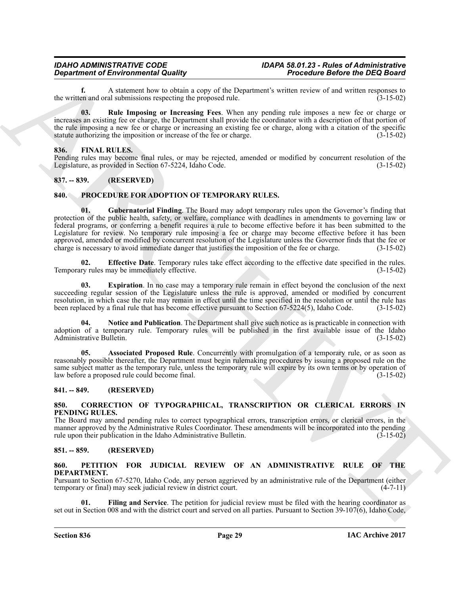**f.** A statement how to obtain a copy of the Department's written review of and written responses to en and oral submissions respecting the proposed rule. (3-15-02) the written and oral submissions respecting the proposed rule.

<span id="page-28-7"></span>**03. Rule Imposing or Increasing Fees**. When any pending rule imposes a new fee or charge or increases an existing fee or charge, the Department shall provide the coordinator with a description of that portion of the rule imposing a new fee or charge or increasing an existing fee or charge, along with a citation of the specific statute authorizing the imposition or increase of the fee or charge. (3-15-02) statute authorizing the imposition or increase of the fee or charge.

#### <span id="page-28-0"></span>**836. FINAL RULES.**

Pending rules may become final rules, or may be rejected, amended or modified by concurrent resolution of the Legislature, as provided in Section 67-5224, Idaho Code. (3-15-02) Legislature, as provided in Section 67-5224, Idaho Code.

## <span id="page-28-1"></span>**837. -- 839. (RESERVED)**

## <span id="page-28-15"></span><span id="page-28-11"></span><span id="page-28-2"></span>**840. PROCEDURE FOR ADOPTION OF TEMPORARY RULES.**

**Department of Environmental Reading Space of the Usymuan Constitute and the Constitute and the Constitute and the Constitute and the Constitute and the Constitute and the Constitute and the Constitute and the Constitute 01. Gubernatorial Finding**. The Board may adopt temporary rules upon the Governor's finding that protection of the public health, safety, or welfare, compliance with deadlines in amendments to governing law or federal programs, or conferring a benefit requires a rule to become effective before it has been submitted to the Legislature for review. No temporary rule imposing a fee or charge may become effective before it has been approved, amended or modified by concurrent resolution of the Legislature unless the Governor finds that the fee or charge is necessary to avoid immediate danger that justifies the imposition of the fee or charge. (3-15-02 charge is necessary to avoid immediate danger that justifies the imposition of the fee or charge.

<span id="page-28-13"></span>**02. Effective Date**. Temporary rules take effect according to the effective date specified in the rules. Temporary rules may be immediately effective. (3-15-02)

<span id="page-28-14"></span>**03. Expiration**. In no case may a temporary rule remain in effect beyond the conclusion of the next succeeding regular session of the Legislature unless the rule is approved, amended or modified by concurrent resolution, in which case the rule may remain in effect until the time specified in the resolution or until the rule has been replaced by a final rule that has become effective pursuant to Section 67-5224(5), Idaho Code. ( been replaced by a final rule that has become effective pursuant to Section 67-5224(5), Idaho Code.

<span id="page-28-16"></span>**Notice and Publication**. The Department shall give such notice as is practicable in connection with adoption of a temporary rule. Temporary rules will be published in the first available issue of the Idaho Administrative Bulletin. (3-15-02)

<span id="page-28-12"></span>**05. Associated Proposed Rule**. Concurrently with promulgation of a temporary rule, or as soon as reasonably possible thereafter, the Department must begin rulemaking procedures by issuing a proposed rule on the same subject matter as the temporary rule, unless the temporary rule will expire by its own terms or by operation of law before a proposed rule could become final. (3-15-02) law before a proposed rule could become final.

## <span id="page-28-3"></span>**841. -- 849. (RESERVED)**

#### <span id="page-28-8"></span><span id="page-28-4"></span>**850. CORRECTION OF TYPOGRAPHICAL, TRANSCRIPTION OR CLERICAL ERRORS IN PENDING RULES.**

The Board may amend pending rules to correct typographical errors, transcription errors, or clerical errors, in the manner approved by the Administrative Rules Coordinator. These amendments will be incorporated into the pending rule upon their publication in the Idaho Administrative Bulletin. (3-15-02) rule upon their publication in the Idaho Administrative Bulletin.

## <span id="page-28-5"></span>**851. -- 859. (RESERVED)**

#### <span id="page-28-9"></span><span id="page-28-6"></span>**860. PETITION FOR JUDICIAL REVIEW OF AN ADMINISTRATIVE RULE OF THE DEPARTMENT.**

Pursuant to Section 67-5270, Idaho Code, any person aggrieved by an administrative rule of the Department (either temporary or final) may seek judicial review in district court.

<span id="page-28-10"></span>**01. Filing and Service**. The petition for judicial review must be filed with the hearing coordinator as set out in Section 008 and with the district court and served on all parties. Pursuant to Section 39-107(6), Idaho Code,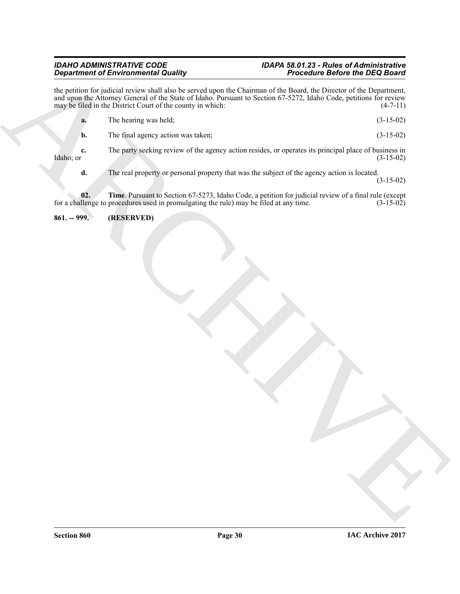## <span id="page-29-1"></span><span id="page-29-0"></span>*IDAHO ADMINISTRATIVE CODE IDAPA 58.01.23 - Rules of Administrative*

|                 | <b>Department of Environmental Quality</b>                                             | <b>Procedure Before the DEQ Board</b>                                                                                                                                                                                                       |             |
|-----------------|----------------------------------------------------------------------------------------|---------------------------------------------------------------------------------------------------------------------------------------------------------------------------------------------------------------------------------------------|-------------|
|                 | may be filed in the District Court of the county in which:                             | the petition for judicial review shall also be served upon the Chairman of the Board, the Director of the Department,<br>and upon the Attorney General of the State of Idaho. Pursuant to Section 67-5272, Idaho Code, petitions for review | $(4-7-11)$  |
| a.              | The hearing was held;                                                                  |                                                                                                                                                                                                                                             | $(3-15-02)$ |
| b.              | The final agency action was taken;                                                     |                                                                                                                                                                                                                                             | $(3-15-02)$ |
| c.<br>Idaho; or |                                                                                        | The party seeking review of the agency action resides, or operates its principal place of business in                                                                                                                                       | $(3-15-02)$ |
| d.              |                                                                                        | The real property or personal property that was the subject of the agency action is located.                                                                                                                                                | $(3-15-02)$ |
| 02.             | for a challenge to procedures used in promulgating the rule) may be filed at any time. | Time. Pursuant to Section 67-5273, Idaho Code, a petition for judicial review of a final rule (except                                                                                                                                       | $(3-15-02)$ |
|                 |                                                                                        |                                                                                                                                                                                                                                             |             |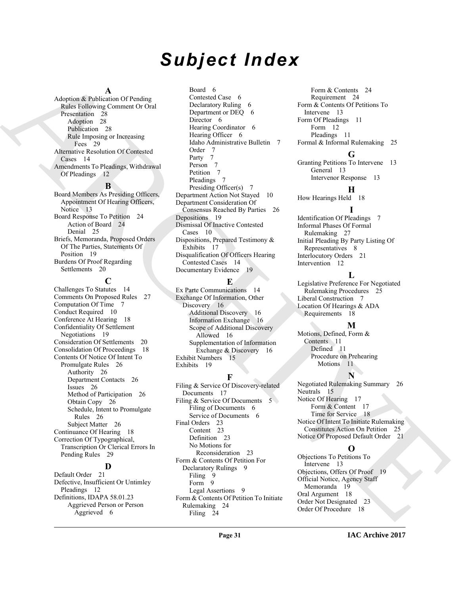# *Subject Index*

#### **A**

Adoption & Publication Of Pending Rules Following Comment Or Oral Presentation 28 Adoption 28 Publication 28 Rule Imposing or Increasing Fees 29 Alternative Resolution Of Contested Cases 14 Amendments To Pleadings, Withdrawal Of Pleadings 12 **B**

Board Members As Presiding Officers, Appointment Of Hearing Officers, Notice 13 Board Response To Petition 24 Action of Board 24 Denial 25 Briefs, Memoranda, Proposed Orders Of The Parties, Statements Of Position 19 Burdens Of Proof Regarding Settlements 20

## **C**

Challenges To Statutes 14 Comments On Proposed Rules 27 Computation Of Time 7 Conduct Required 10 Conference At Hearing 18 Confidentiality Of Settlement Negotiations 19 Consideration Of Settlements 20 Consolidation Of Proceedings 18 Contents Of Notice Of Intent To Promulgate Rules 26 Authority 26 Department Contacts 26 Issues 26 Method of Participation 26 Obtain Copy 26 Schedule, Intent to Promulgate Rules 26 Subject Matter 26 Continuance Of Hearing 18 Correction Of Typographical, Transcription Or Clerical Errors In Pending Rules 29

## **D**

Default Order 21 Defective, Insufficient Or Untimley Pleadings 12 Definitions, IDAPA 58.01.23 Aggrieved Person or Person Aggrieved 6

[A](#page-27-2)[R](#page-12-7)[C](#page-16-6)[H](#page-15-5)[I](#page-10-6)[V](#page-10-8)[E](#page-24-9) Board 6 Contested Case 6 Declaratory Ruling 6 Department or DEQ 6 Director 6 Hearing Coordinator 6 Hearing Officer 6 Idaho Administrative Bulletin 7 Order 7 Party 7 Person 7 Petition<sub>7</sub> Pleadings 7 Presiding Officer(s) 7 Department Action Not Stayed 10 Department Consideration Of Consensus Reached By Parties 26 Depositions 19 Dismissal Of Inactive Contested Cases 10 Dispositions, Prepared Testimony & Exhibits 17 Disqualification Of Officers Hearing Contested Cases 14 Documentary Evidence 19

## **E**

Ex Parte Communications 14 Exchange Of Information, Other Discovery 16 Additional Discovery 16 Information Exchange 16 Scope of Additional Discovery Allowed 16 Supplementation of Information Exchange & Discovery 16 Exhibit Numbers 15 Exhibits 19

## **F**

Filing & Service Of Discovery-related Documents 17 Filing & Service Of Documents 5 Filing of Documents 6 Service of Documents 6 Final Orders 23 Content 23 Definition 23 No Motions for Reconsideration 23 Form & Contents Of Petition For Declaratory Rulings 9 Filing<sub>9</sub> Form 9 Legal Assertions 9 Form & Contents Of Petition To Initiate Rulemaking 24 Filing 24

Form & Contents 24 Requirement 24 Form & Contents Of Petitions To Intervene 13 Form Of Pleadings 11 Form 12 Pleadings 11 Formal & Informal Rulemaking 25

## **G**

Granting Petitions To Intervene 13 General 13 Intervenor Response 13

## **H**

How Hearings Held 18

## **I**

Identification Of Pleadings 7 Informal Phases Of Formal Rulemaking 27 Initial Pleading By Party Listing Of Representatives 8 Interlocutory Orders 21 Intervention 12

## **L**

Legislative Preference For Negotiated Rulemaking Procedures 25 Liberal Construction 7 Location Of Hearings & ADA Requirements 18

## **M**

Motions, Defined, Form & Contents 11 Defined 11 Procedure on Prehearing Motions 11

## **N**

Negotiated Rulemaking Summary 26 Neutrals 15 Notice Of Hearing 17 Form & Content 17 Time for Service 18 Notice Of Intent To Initiate Rulemaking Constitutes Action On Petition 25 Notice Of Proposed Default Order 21

## **O**

Objections To Petitions To Intervene 13 Objections, Offers Of Proof 19 Official Notice, Agency Staff Memoranda 19 Oral Argument 18 Order Not Designated 23 Order Of Procedure 18